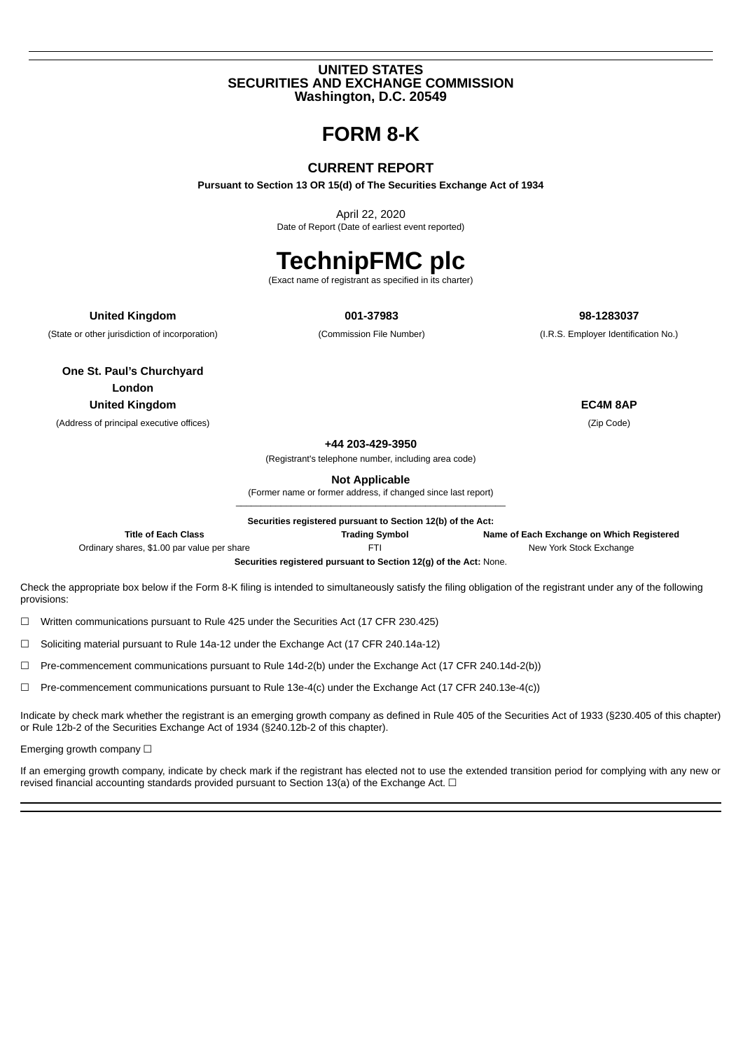#### **UNITED STATES SECURITIES AND EXCHANGE COMMISSION Washington, D.C. 20549**

**FORM 8-K**

#### **CURRENT REPORT**

**Pursuant to Section 13 OR 15(d) of The Securities Exchange Act of 1934**

April 22, 2020 Date of Report (Date of earliest event reported)

# **TechnipFMC plc**

(Exact name of registrant as specified in its charter)

**United Kingdom 001-37983 98-1283037**

(State or other jurisdiction of incorporation) (Commission File Number) (I.R.S. Employer Identification No.)

**One St. Paul's Churchyard London United Kingdom EC4M 8AP**

(Address of principal executive offices) (Zip Code)

**+44 203-429-3950**

(Registrant's telephone number, including area code)

**Not Applicable**

(Former name or former address, if changed since last report) \_\_\_\_\_\_\_\_\_\_\_\_\_\_\_\_\_\_\_\_\_\_\_\_\_\_\_\_\_\_\_\_\_\_\_\_\_\_\_\_\_\_\_\_\_\_\_\_\_\_\_\_\_\_

**Securities registered pursuant to Section 12(b) of the Act:**

**Title of Each Class Trading Symbol Name of Each Exchange on Which Registered**

Ordinary shares, \$1.00 par value per share FTI FTI FTI FTI New York Stock Exchange

**Securities registered pursuant to Section 12(g) of the Act:** None.

Check the appropriate box below if the Form 8-K filing is intended to simultaneously satisfy the filing obligation of the registrant under any of the following provisions:

☐ Written communications pursuant to Rule 425 under the Securities Act (17 CFR 230.425)

☐ Soliciting material pursuant to Rule 14a-12 under the Exchange Act (17 CFR 240.14a-12)

 $\Box$  Pre-commencement communications pursuant to Rule 14d-2(b) under the Exchange Act (17 CFR 240.14d-2(b))

☐ Pre-commencement communications pursuant to Rule 13e-4(c) under the Exchange Act (17 CFR 240.13e-4(c))

Indicate by check mark whether the registrant is an emerging growth company as defined in Rule 405 of the Securities Act of 1933 (§230.405 of this chapter) or Rule 12b-2 of the Securities Exchange Act of 1934 (§240.12b-2 of this chapter).

Emerging growth company  $\Box$ 

If an emerging growth company, indicate by check mark if the registrant has elected not to use the extended transition period for complying with any new or revised financial accounting standards provided pursuant to Section 13(a) of the Exchange Act. □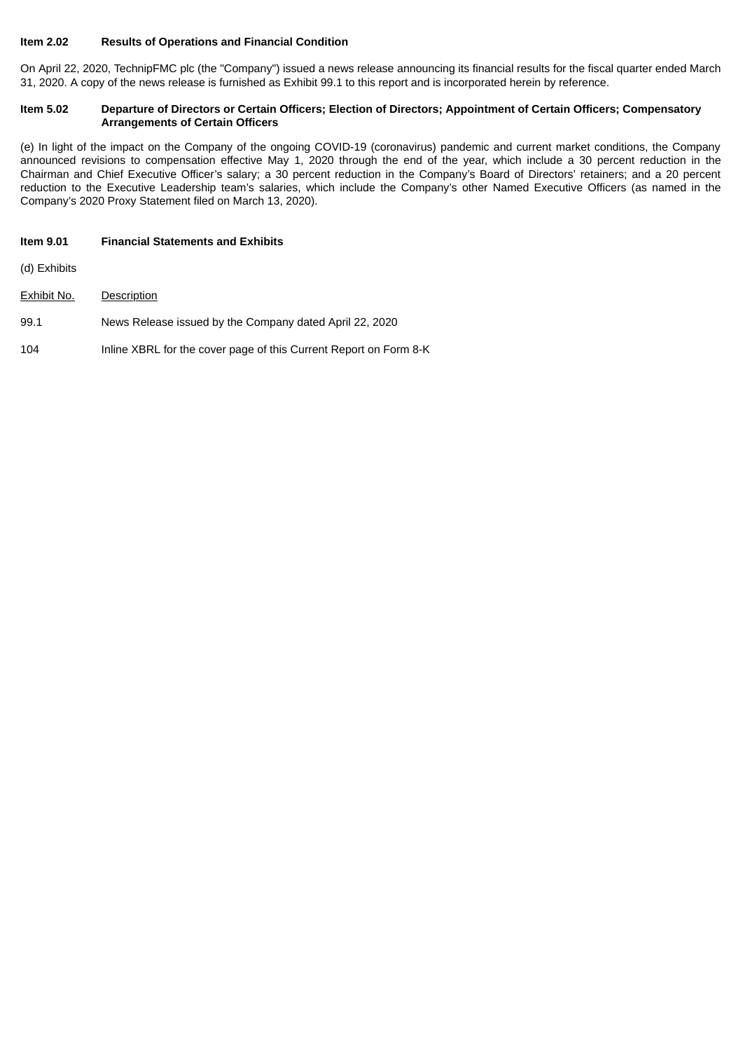#### **Item 2.02 Results of Operations and Financial Condition**

On April 22, 2020, TechnipFMC plc (the "Company") issued a news release announcing its financial results for the fiscal quarter ended March 31, 2020. A copy of the news release is furnished as Exhibit 99.1 to this report and is incorporated herein by reference.

#### Item 5.02 Departure of Directors or Certain Officers; Election of Directors; Appointment of Certain Officers; Compensatory **Arrangements of Certain Officers**

(e) In light of the impact on the Company of the ongoing COVID-19 (coronavirus) pandemic and current market conditions, the Company announced revisions to compensation effective May 1, 2020 through the end of the year, which include a 30 percent reduction in the Chairman and Chief Executive Officer's salary; a 30 percent reduction in the Company's Board of Directors' retainers; and a 20 percent reduction to the Executive Leadership team's salaries, which include the Company's other Named Executive Officers (as named in the Company's 2020 Proxy Statement filed on March 13, 2020).

#### **Item 9.01 Financial Statements and Exhibits**

(d) Exhibits

- Exhibit No. Description
- 99.1 News Release issued by the Company dated April 22, 2020
- 104 Inline XBRL for the cover page of this Current Report on Form 8-K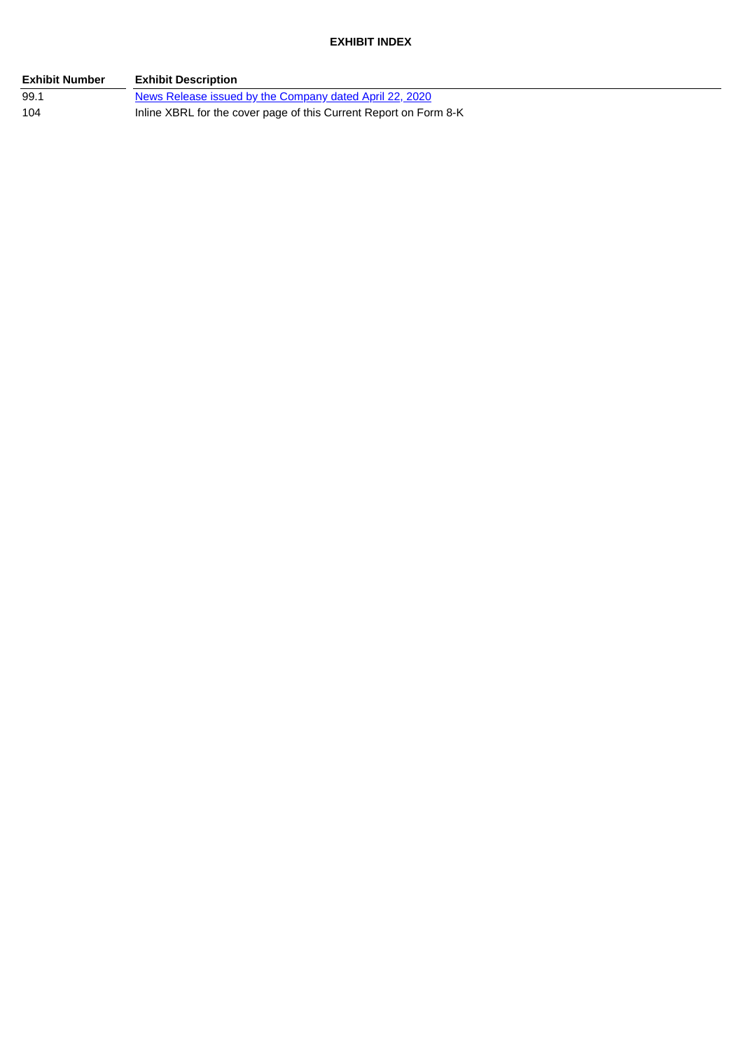**EXHIBIT INDEX**

| <b>Exhibit Number</b> | <b>Exhibit Description</b>                                        |
|-----------------------|-------------------------------------------------------------------|
| 99.1                  | News Release issued by the Company dated April 22, 2020           |
| 104                   | Inline XBRL for the cover page of this Current Report on Form 8-K |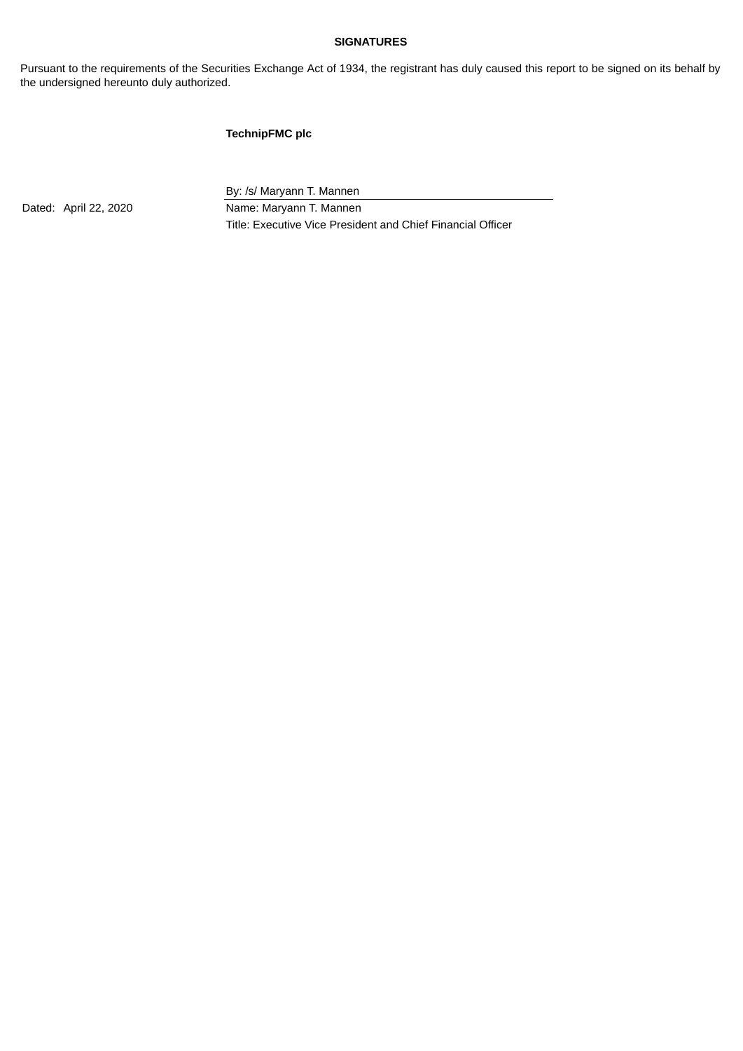#### **SIGNATURES**

Pursuant to the requirements of the Securities Exchange Act of 1934, the registrant has duly caused this report to be signed on its behalf by the undersigned hereunto duly authorized.

#### **TechnipFMC plc**

By: /s/ Maryann T. Mannen

Dated: April 22, 2020 Name: Maryann T. Mannen Title: Executive Vice President and Chief Financial Officer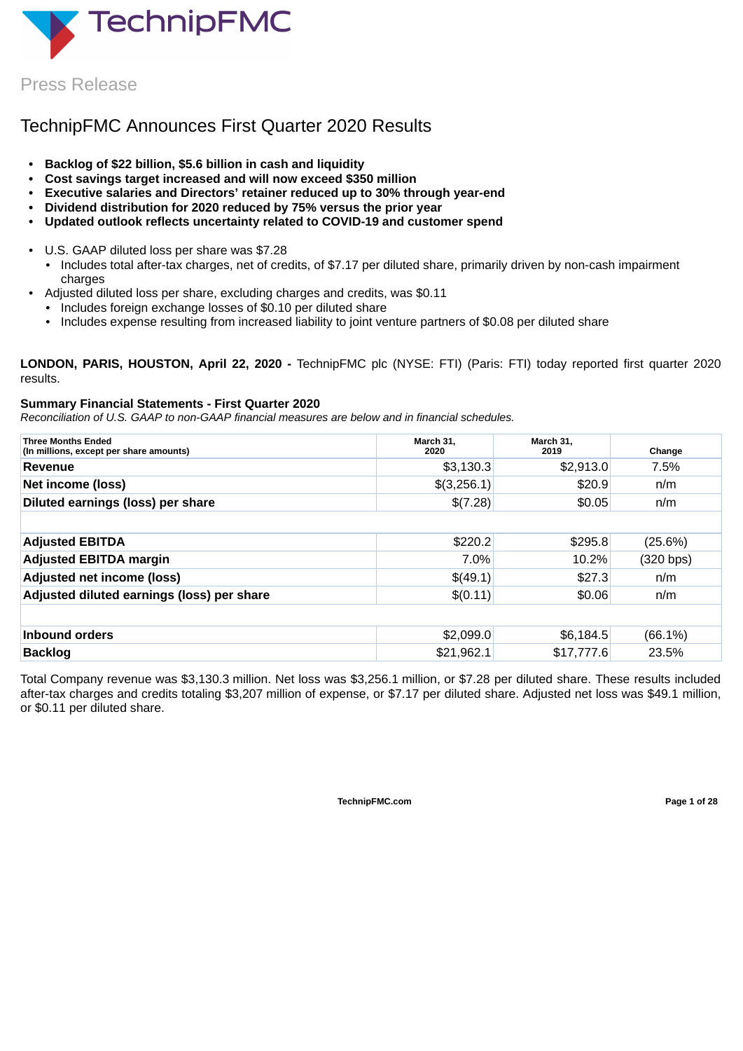<span id="page-4-0"></span>

Press Release

# TechnipFMC Announces First Quarter 2020 Results

- **• Backlog of \$22 billion, \$5.6 billion in cash and liquidity**
- **• Cost savings target increased and will now exceed \$350 million**
- **• Executive salaries and Directors' retainer reduced up to 30% through year-end**
- **• Dividend distribution for 2020 reduced by 75% versus the prior year**
- **• Updated outlook reflects uncertainty related to COVID-19 and customer spend**
- U.S. GAAP diluted loss per share was \$7.28
	- Includes total after-tax charges, net of credits, of \$7.17 per diluted share, primarily driven by non-cash impairment charges
- Adjusted diluted loss per share, excluding charges and credits, was \$0.11
	- Includes foreign exchange losses of \$0.10 per diluted share
	- Includes expense resulting from increased liability to joint venture partners of \$0.08 per diluted share

**LONDON, PARIS, HOUSTON, April 22, 2020 -** TechnipFMC plc (NYSE: FTI) (Paris: FTI) today reported first quarter 2020 results.

#### **Summary Financial Statements - First Quarter 2020**

*Reconciliation of U.S. GAAP to non-GAAP financial measures are below and in financial schedules.*

| <b>Three Months Ended</b><br>(In millions, except per share amounts) | March 31,<br>2020 | March 31,<br>2019 | Change     |
|----------------------------------------------------------------------|-------------------|-------------------|------------|
| Revenue                                                              | \$3,130.3         | \$2,913.0         | 7.5%       |
| Net income (loss)                                                    | \$(3,256.1)       | \$20.9            | n/m        |
| Diluted earnings (loss) per share                                    | \$(7.28)          | \$0.05            | n/m        |
|                                                                      |                   |                   |            |
| <b>Adjusted EBITDA</b>                                               | \$220.2           | \$295.8           | $(25.6\%)$ |
| <b>Adjusted EBITDA margin</b>                                        | 7.0%              | 10.2%             | (320 bps)  |
| <b>Adjusted net income (loss)</b>                                    | \$(49.1)          | \$27.3            | n/m        |
| Adjusted diluted earnings (loss) per share                           | \$(0.11)          | \$0.06            | n/m        |
|                                                                      |                   |                   |            |
| Inbound orders                                                       | \$2,099.0         | \$6,184.5         | $(66.1\%)$ |
| <b>Backlog</b>                                                       | \$21,962.1        | \$17,777.6        | 23.5%      |

Total Company revenue was \$3,130.3 million. Net loss was \$3,256.1 million, or \$7.28 per diluted share. These results included after-tax charges and credits totaling \$3,207 million of expense, or \$7.17 per diluted share. Adjusted net loss was \$49.1 million, or \$0.11 per diluted share.

**TechnipFMC.com Page 1 of [28](#page-31-0)**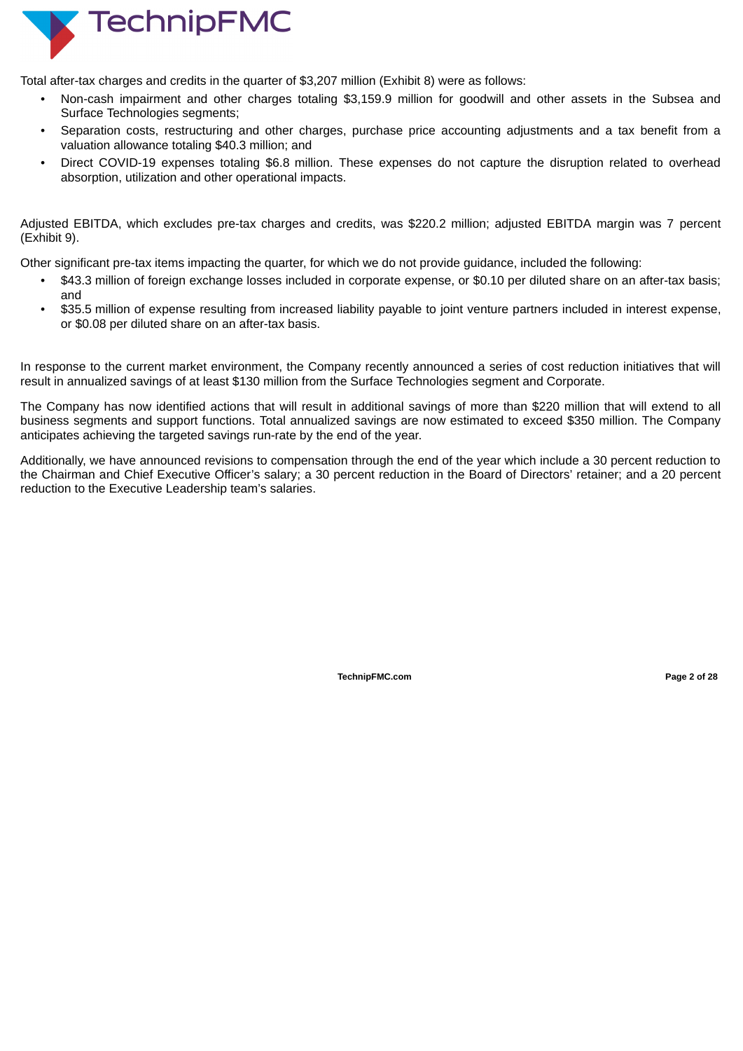

Total after-tax charges and credits in the quarter of \$3,207 million (Exhibit 8) were as follows:

- Non-cash impairment and other charges totaling \$3,159.9 million for goodwill and other assets in the Subsea and Surface Technologies segments;
- Separation costs, restructuring and other charges, purchase price accounting adjustments and a tax benefit from a valuation allowance totaling \$40.3 million; and
- Direct COVID-19 expenses totaling \$6.8 million. These expenses do not capture the disruption related to overhead absorption, utilization and other operational impacts.

Adjusted EBITDA, which excludes pre-tax charges and credits, was \$220.2 million; adjusted EBITDA margin was 7 percent (Exhibit 9).

Other significant pre-tax items impacting the quarter, for which we do not provide guidance, included the following:

- \$43.3 million of foreign exchange losses included in corporate expense, or \$0.10 per diluted share on an after-tax basis; and
- \$35.5 million of expense resulting from increased liability payable to joint venture partners included in interest expense, or \$0.08 per diluted share on an after-tax basis.

In response to the current market environment, the Company recently announced a series of cost reduction initiatives that will result in annualized savings of at least \$130 million from the Surface Technologies segment and Corporate.

The Company has now identified actions that will result in additional savings of more than \$220 million that will extend to all business segments and support functions. Total annualized savings are now estimated to exceed \$350 million. The Company anticipates achieving the targeted savings run-rate by the end of the year.

Additionally, we have announced revisions to compensation through the end of the year which include a 30 percent reduction to the Chairman and Chief Executive Officer's salary; a 30 percent reduction in the Board of Directors' retainer; and a 20 percent reduction to the Executive Leadership team's salaries.

**TechnipFMC.com Page 2 of [28](#page-31-0)**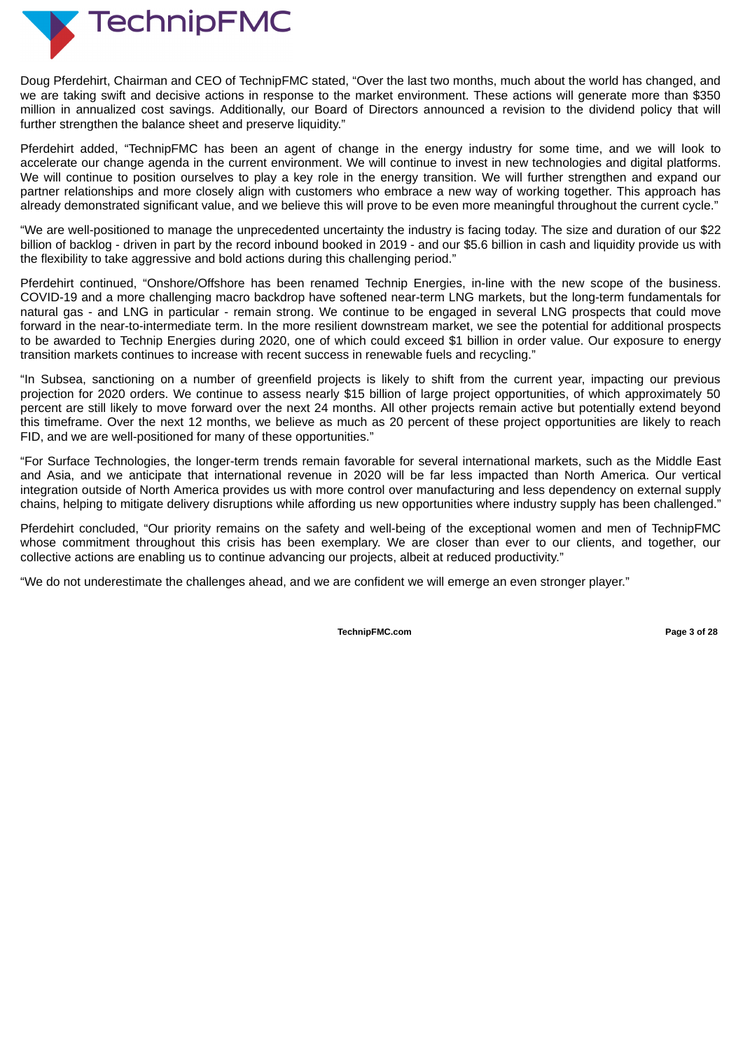

Doug Pferdehirt, Chairman and CEO of TechnipFMC stated, "Over the last two months, much about the world has changed, and we are taking swift and decisive actions in response to the market environment. These actions will generate more than \$350 million in annualized cost savings. Additionally, our Board of Directors announced a revision to the dividend policy that will further strengthen the balance sheet and preserve liquidity."

Pferdehirt added, "TechnipFMC has been an agent of change in the energy industry for some time, and we will look to accelerate our change agenda in the current environment. We will continue to invest in new technologies and digital platforms. We will continue to position ourselves to play a key role in the energy transition. We will further strengthen and expand our partner relationships and more closely align with customers who embrace a new way of working together. This approach has already demonstrated significant value, and we believe this will prove to be even more meaningful throughout the current cycle."

"We are well-positioned to manage the unprecedented uncertainty the industry is facing today. The size and duration of our \$22 billion of backlog - driven in part by the record inbound booked in 2019 - and our \$5.6 billion in cash and liquidity provide us with the flexibility to take aggressive and bold actions during this challenging period."

Pferdehirt continued, "Onshore/Offshore has been renamed Technip Energies, in-line with the new scope of the business. COVID-19 and a more challenging macro backdrop have softened near-term LNG markets, but the long-term fundamentals for natural gas - and LNG in particular - remain strong. We continue to be engaged in several LNG prospects that could move forward in the near-to-intermediate term. In the more resilient downstream market, we see the potential for additional prospects to be awarded to Technip Energies during 2020, one of which could exceed \$1 billion in order value. Our exposure to energy transition markets continues to increase with recent success in renewable fuels and recycling."

"In Subsea, sanctioning on a number of greenfield projects is likely to shift from the current year, impacting our previous projection for 2020 orders. We continue to assess nearly \$15 billion of large project opportunities, of which approximately 50 percent are still likely to move forward over the next 24 months. All other projects remain active but potentially extend beyond this timeframe. Over the next 12 months, we believe as much as 20 percent of these project opportunities are likely to reach FID, and we are well-positioned for many of these opportunities."

"For Surface Technologies, the longer-term trends remain favorable for several international markets, such as the Middle East and Asia, and we anticipate that international revenue in 2020 will be far less impacted than North America. Our vertical integration outside of North America provides us with more control over manufacturing and less dependency on external supply chains, helping to mitigate delivery disruptions while affording us new opportunities where industry supply has been challenged."

Pferdehirt concluded, "Our priority remains on the safety and well-being of the exceptional women and men of TechnipFMC whose commitment throughout this crisis has been exemplary. We are closer than ever to our clients, and together, our collective actions are enabling us to continue advancing our projects, albeit at reduced productivity."

"We do not underestimate the challenges ahead, and we are confident we will emerge an even stronger player."

**TechnipFMC.com Page 3 of [28](#page-31-0)**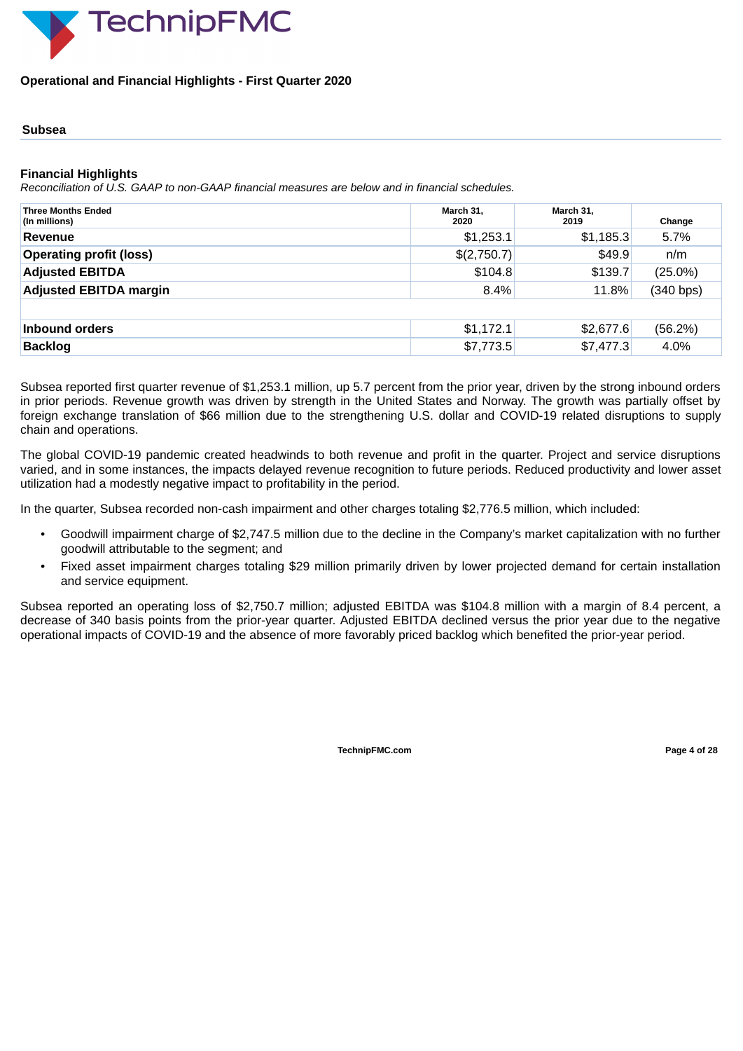

#### **Operational and Financial Highlights - First Quarter 2020**

#### **Subsea**

#### **Financial Highlights**

*Reconciliation of U.S. GAAP to non-GAAP financial measures are below and in financial schedules.*

| <b>Three Months Ended</b><br>(In millions) | March 31,<br>2020 | March 31,<br>2019 | Change     |
|--------------------------------------------|-------------------|-------------------|------------|
| <b>Revenue</b>                             | \$1,253.1         | \$1,185.3         | 5.7%       |
| <b>Operating profit (loss)</b>             | \$(2,750.7)       | \$49.9            | n/m        |
| <b>Adjusted EBITDA</b>                     | \$104.8           | \$139.7           | $(25.0\%)$ |
| <b>Adjusted EBITDA margin</b>              | 8.4%              | 11.8%             | (340 bps)  |
|                                            |                   |                   |            |
| Inbound orders                             | \$1,172.1         | \$2,677.6         | (56.2%)    |
| <b>Backlog</b>                             | \$7,773.5         | \$7,477.3         | 4.0%       |

Subsea reported first quarter revenue of \$1,253.1 million, up 5.7 percent from the prior year, driven by the strong inbound orders in prior periods. Revenue growth was driven by strength in the United States and Norway. The growth was partially offset by foreign exchange translation of \$66 million due to the strengthening U.S. dollar and COVID-19 related disruptions to supply chain and operations.

The global COVID-19 pandemic created headwinds to both revenue and profit in the quarter. Project and service disruptions varied, and in some instances, the impacts delayed revenue recognition to future periods. Reduced productivity and lower asset utilization had a modestly negative impact to profitability in the period.

In the quarter, Subsea recorded non-cash impairment and other charges totaling \$2,776.5 million, which included:

- Goodwill impairment charge of \$2,747.5 million due to the decline in the Company's market capitalization with no further goodwill attributable to the segment; and
- Fixed asset impairment charges totaling \$29 million primarily driven by lower projected demand for certain installation and service equipment.

Subsea reported an operating loss of \$2,750.7 million; adjusted EBITDA was \$104.8 million with a margin of 8.4 percent, a decrease of 340 basis points from the prior-year quarter. Adjusted EBITDA declined versus the prior year due to the negative operational impacts of COVID-19 and the absence of more favorably priced backlog which benefited the prior-year period.

**TechnipFMC.com Page 4 of [28](#page-31-0)**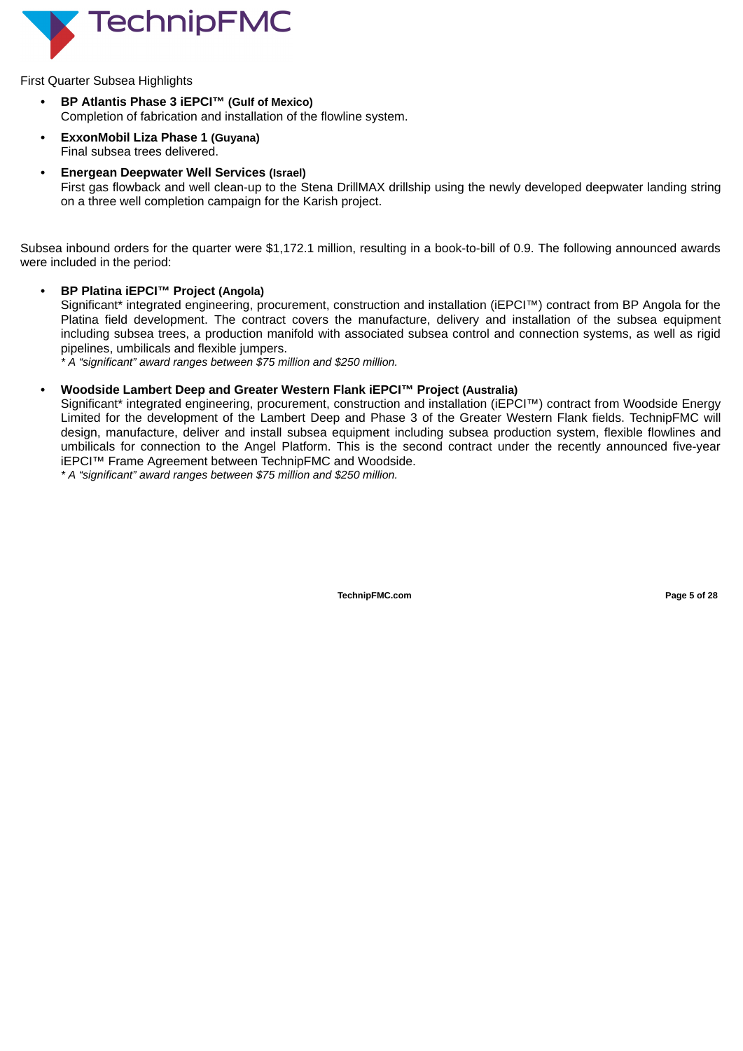

First Quarter Subsea Highlights

- **• BP Atlantis Phase 3 iEPCI™ (Gulf of Mexico)** Completion of fabrication and installation of the flowline system.
- **• ExxonMobil Liza Phase 1 (Guyana)** Final subsea trees delivered.
- **• Energean Deepwater Well Services (Israel)** First gas flowback and well clean-up to the Stena DrillMAX drillship using the newly developed deepwater landing string on a three well completion campaign for the Karish project.

Subsea inbound orders for the quarter were \$1,172.1 million, resulting in a book-to-bill of 0.9. The following announced awards were included in the period:

**• BP Platina iEPCI™ Project (Angola)**

Significant\* integrated engineering, procurement, construction and installation (iEPCI™) contract from BP Angola for the Platina field development. The contract covers the manufacture, delivery and installation of the subsea equipment including subsea trees, a production manifold with associated subsea control and connection systems, as well as rigid pipelines, umbilicals and flexible jumpers.

*\* A "significant" award ranges between \$75 million and \$250 million.*

#### **• Woodside Lambert Deep and Greater Western Flank iEPCI™ Project (Australia)**

Significant\* integrated engineering, procurement, construction and installation (iEPCI™) contract from Woodside Energy Limited for the development of the Lambert Deep and Phase 3 of the Greater Western Flank fields. TechnipFMC will design, manufacture, deliver and install subsea equipment including subsea production system, flexible flowlines and umbilicals for connection to the Angel Platform. This is the second contract under the recently announced five-year iEPCI™ Frame Agreement between TechnipFMC and Woodside.

*\* A "significant" award ranges between \$75 million and \$250 million.*

**TechnipFMC.com Page 5 of [28](#page-31-0)**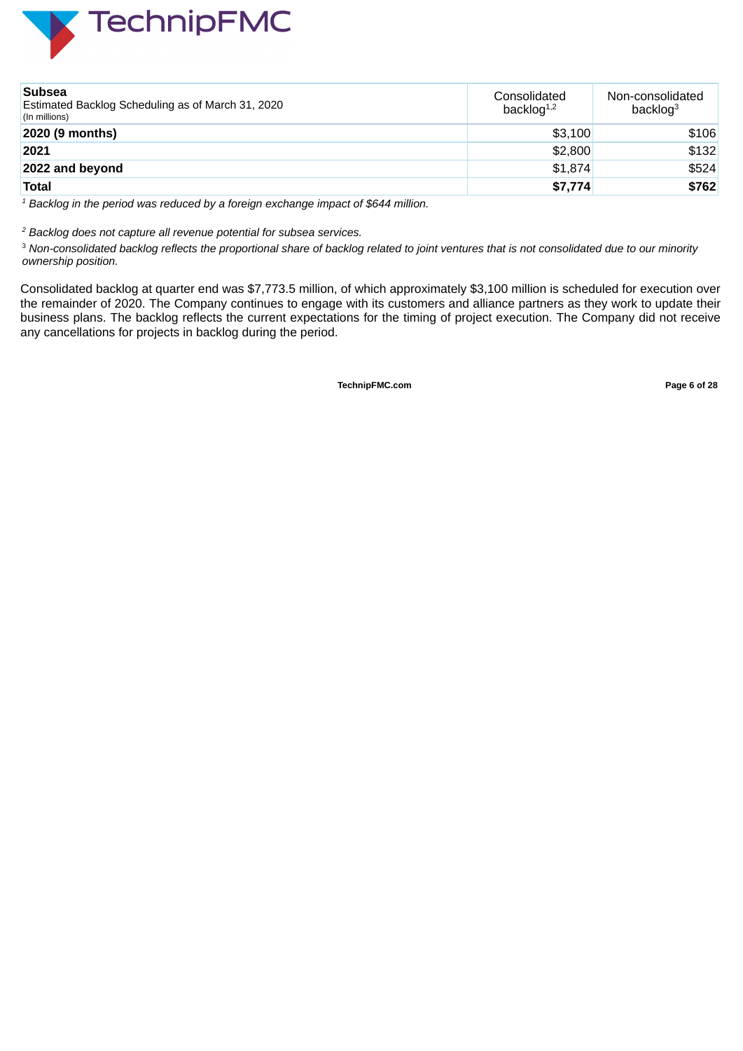

| <b>Subsea</b><br>Estimated Backlog Scheduling as of March 31, 2020<br>(In millions) | Consolidated<br>backlog $1,2$ | Non-consolidated<br>backlog <sup>3</sup> |
|-------------------------------------------------------------------------------------|-------------------------------|------------------------------------------|
| 2020 (9 months)                                                                     | \$3,100                       | \$106                                    |
| 2021                                                                                | \$2,800                       | \$132                                    |
| 2022 and beyond                                                                     | \$1,874                       | \$524                                    |
| <b>Total</b>                                                                        | \$7,774                       | \$762                                    |

*<sup>1</sup> Backlog in the period was reduced by a foreign exchange impact of \$644 million.*

*<sup>2</sup> Backlog does not capture all revenue potential for subsea services.*

<sup>3</sup> Non-consolidated backlog reflects the proportional share of backlog related to joint ventures that is not consolidated due to our minority *ownership position.*

Consolidated backlog at quarter end was \$7,773.5 million, of which approximately \$3,100 million is scheduled for execution over the remainder of 2020. The Company continues to engage with its customers and alliance partners as they work to update their business plans. The backlog reflects the current expectations for the timing of project execution. The Company did not receive any cancellations for projects in backlog during the period.

**TechnipFMC.com Page 6 of [28](#page-31-0)**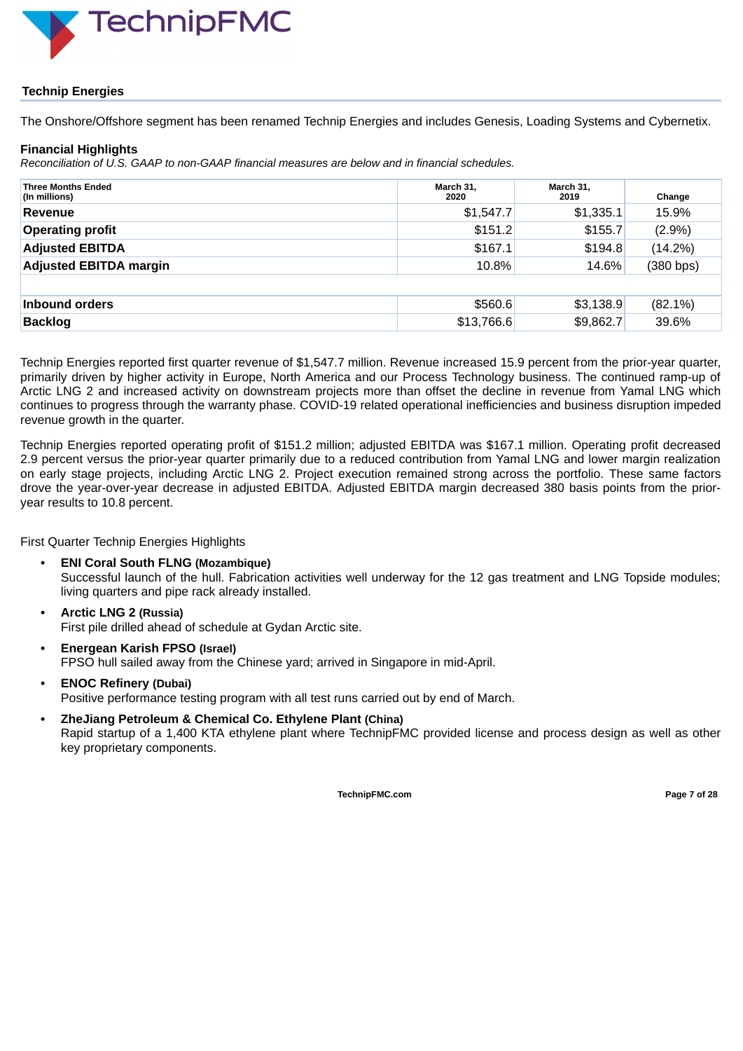

### **Technip Energies**

The Onshore/Offshore segment has been renamed Technip Energies and includes Genesis, Loading Systems and Cybernetix.

#### **Financial Highlights**

*Reconciliation of U.S. GAAP to non-GAAP financial measures are below and in financial schedules.*

| <b>Three Months Ended</b><br>(In millions) | March 31,<br>2020 | March 31,<br>2019 | Change     |
|--------------------------------------------|-------------------|-------------------|------------|
| <b>Revenue</b>                             | \$1,547.7         | \$1,335.1         | 15.9%      |
| <b>Operating profit</b>                    | \$151.2           | \$155.7           | $(2.9\%)$  |
| <b>Adjusted EBITDA</b>                     | \$167.1           | \$194.8           | $(14.2\%)$ |
| <b>Adjusted EBITDA margin</b>              | 10.8%             | 14.6%             | (380 bps)  |
|                                            |                   |                   |            |
| Inbound orders                             | \$560.6           | \$3,138.9         | $(82.1\%)$ |
| <b>Backlog</b>                             | \$13,766.6        | \$9,862.7         | 39.6%      |

Technip Energies reported first quarter revenue of \$1,547.7 million. Revenue increased 15.9 percent from the prior-year quarter, primarily driven by higher activity in Europe, North America and our Process Technology business. The continued ramp-up of Arctic LNG 2 and increased activity on downstream projects more than offset the decline in revenue from Yamal LNG which continues to progress through the warranty phase. COVID-19 related operational inefficiencies and business disruption impeded revenue growth in the quarter.

Technip Energies reported operating profit of \$151.2 million; adjusted EBITDA was \$167.1 million. Operating profit decreased 2.9 percent versus the prior-year quarter primarily due to a reduced contribution from Yamal LNG and lower margin realization on early stage projects, including Arctic LNG 2. Project execution remained strong across the portfolio. These same factors drove the year-over-year decrease in adjusted EBITDA. Adjusted EBITDA margin decreased 380 basis points from the prioryear results to 10.8 percent.

First Quarter Technip Energies Highlights

- **• ENI Coral South FLNG (Mozambique)** Successful launch of the hull. Fabrication activities well underway for the 12 gas treatment and LNG Topside modules; living quarters and pipe rack already installed.
- **• Arctic LNG 2 (Russia)** First pile drilled ahead of schedule at Gydan Arctic site.
- **• Energean Karish FPSO (Israel)** FPSO hull sailed away from the Chinese yard; arrived in Singapore in mid-April.
- **• ENOC Refinery (Dubai)** Positive performance testing program with all test runs carried out by end of March.
- **• ZheJiang Petroleum & Chemical Co. Ethylene Plant (China)** Rapid startup of a 1,400 KTA ethylene plant where TechnipFMC provided license and process design as well as other key proprietary components.

**TechnipFMC.com Page 7 of [28](#page-31-0)**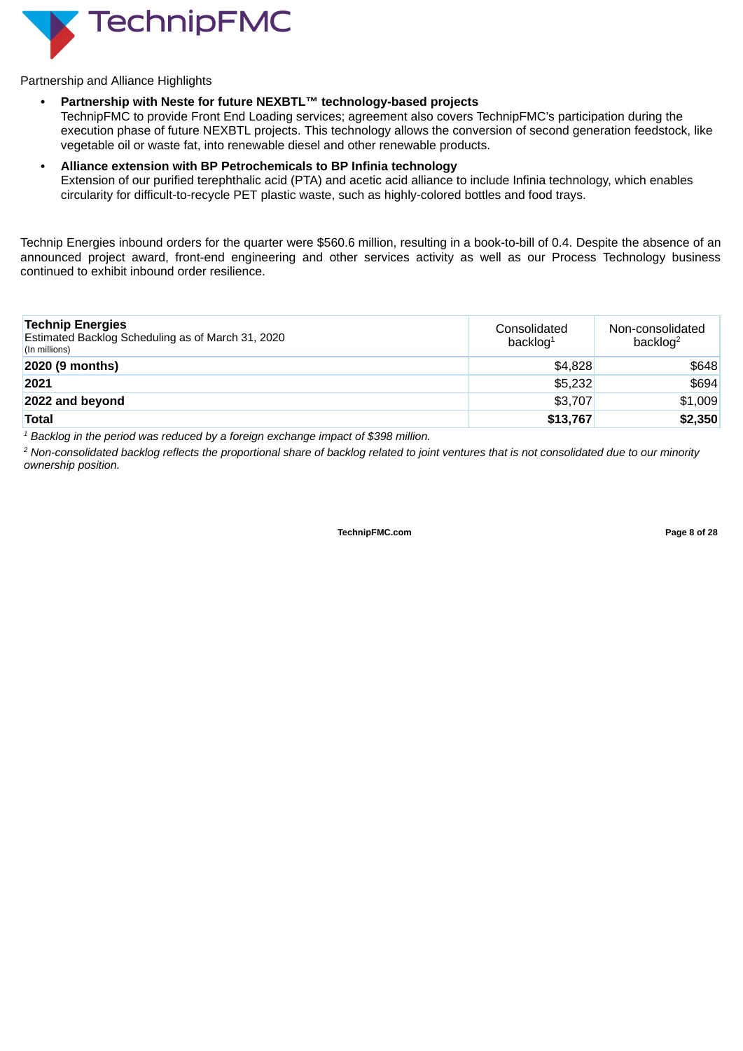

Partnership and Alliance Highlights

#### **• Partnership with Neste for future NEXBTL™ technology-based projects**

TechnipFMC to provide Front End Loading services; agreement also covers TechnipFMC's participation during the execution phase of future NEXBTL projects. This technology allows the conversion of second generation feedstock, like vegetable oil or waste fat, into renewable diesel and other renewable products.

#### **• Alliance extension with BP Petrochemicals to BP Infinia technology**

Extension of our purified terephthalic acid (PTA) and acetic acid alliance to include Infinia technology, which enables circularity for difficult-to-recycle PET plastic waste, such as highly-colored bottles and food trays.

Technip Energies inbound orders for the quarter were \$560.6 million, resulting in a book-to-bill of 0.4. Despite the absence of an announced project award, front-end engineering and other services activity as well as our Process Technology business continued to exhibit inbound order resilience.

| <b>Technip Energies</b><br>Estimated Backlog Scheduling as of March 31, 2020<br>(In millions) | Consolidated<br>backlog $1$ | Non-consolidated<br>backlog <sup>2</sup> |
|-----------------------------------------------------------------------------------------------|-----------------------------|------------------------------------------|
| 2020 (9 months)                                                                               | \$4,828                     | \$648                                    |
| 2021                                                                                          | \$5,232                     | \$694                                    |
| 2022 and beyond                                                                               | \$3,707                     | \$1,009                                  |
| <b>Total</b>                                                                                  | \$13,767                    | \$2,350                                  |

*<sup>1</sup> Backlog in the period was reduced by a foreign exchange impact of \$398 million.*

<sup>2</sup> Non-consolidated backlog reflects the proportional share of backlog related to joint ventures that is not consolidated due to our minority *ownership position.*

**TechnipFMC.com Page 8 of [28](#page-31-0)**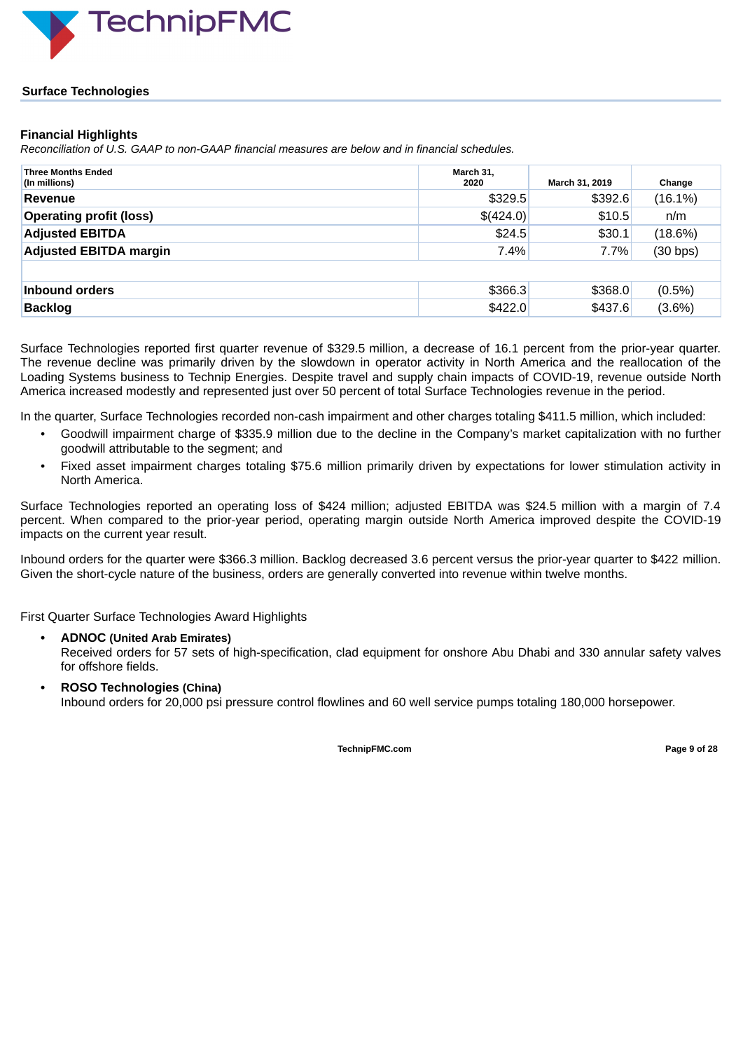

#### **Surface Technologies**

#### **Financial Highlights**

*Reconciliation of U.S. GAAP to non-GAAP financial measures are below and in financial schedules.*

| <b>Three Months Ended</b><br>(In millions) | March 31,<br>2020 | March 31, 2019 | Change     |
|--------------------------------------------|-------------------|----------------|------------|
| Revenue                                    | \$329.5           | \$392.6        | $(16.1\%)$ |
| <b>Operating profit (loss)</b>             | \$(424.0)         | \$10.5         | n/m        |
| <b>Adjusted EBITDA</b>                     | \$24.5            | \$30.1         | $(18.6\%)$ |
| <b>Adjusted EBITDA margin</b>              | 7.4%              | 7.7%           | (30 bps)   |
|                                            |                   |                |            |
| Inbound orders                             | \$366.3           | \$368.0        | $(0.5\%)$  |
| <b>Backlog</b>                             | \$422.0           | \$437.6        | $(3.6\%)$  |

Surface Technologies reported first quarter revenue of \$329.5 million, a decrease of 16.1 percent from the prior-year quarter. The revenue decline was primarily driven by the slowdown in operator activity in North America and the reallocation of the Loading Systems business to Technip Energies. Despite travel and supply chain impacts of COVID-19, revenue outside North America increased modestly and represented just over 50 percent of total Surface Technologies revenue in the period.

In the quarter, Surface Technologies recorded non-cash impairment and other charges totaling \$411.5 million, which included:

- Goodwill impairment charge of \$335.9 million due to the decline in the Company's market capitalization with no further goodwill attributable to the segment; and
- Fixed asset impairment charges totaling \$75.6 million primarily driven by expectations for lower stimulation activity in North America.

Surface Technologies reported an operating loss of \$424 million; adjusted EBITDA was \$24.5 million with a margin of 7.4 percent. When compared to the prior-year period, operating margin outside North America improved despite the COVID-19 impacts on the current year result.

Inbound orders for the quarter were \$366.3 million. Backlog decreased 3.6 percent versus the prior-year quarter to \$422 million. Given the short-cycle nature of the business, orders are generally converted into revenue within twelve months.

First Quarter Surface Technologies Award Highlights

**• ADNOC (United Arab Emirates)**

Received orders for 57 sets of high-specification, clad equipment for onshore Abu Dhabi and 330 annular safety valves for offshore fields.

**• ROSO Technologies (China)**

Inbound orders for 20,000 psi pressure control flowlines and 60 well service pumps totaling 180,000 horsepower.

**TechnipFMC.com Page 9 of [28](#page-31-0)**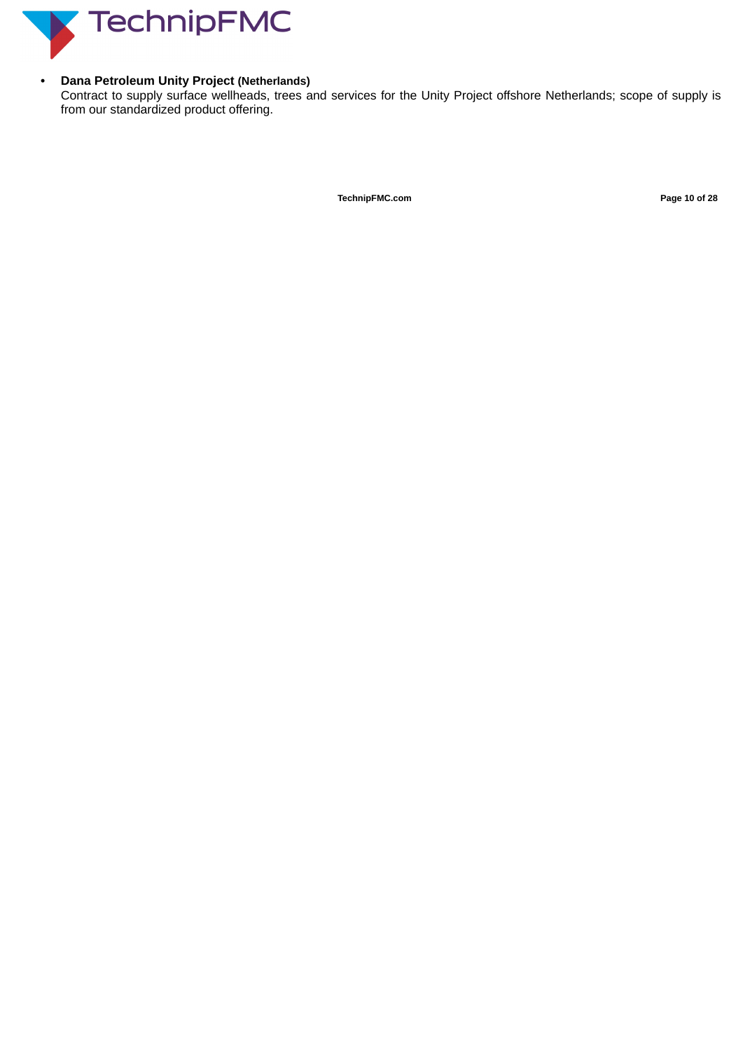

## **• Dana Petroleum Unity Project (Netherlands)**

Contract to supply surface wellheads, trees and services for the Unity Project offshore Netherlands; scope of supply is from our standardized product offering.

**TechnipFMC.com Page 10 of [28](#page-31-0)**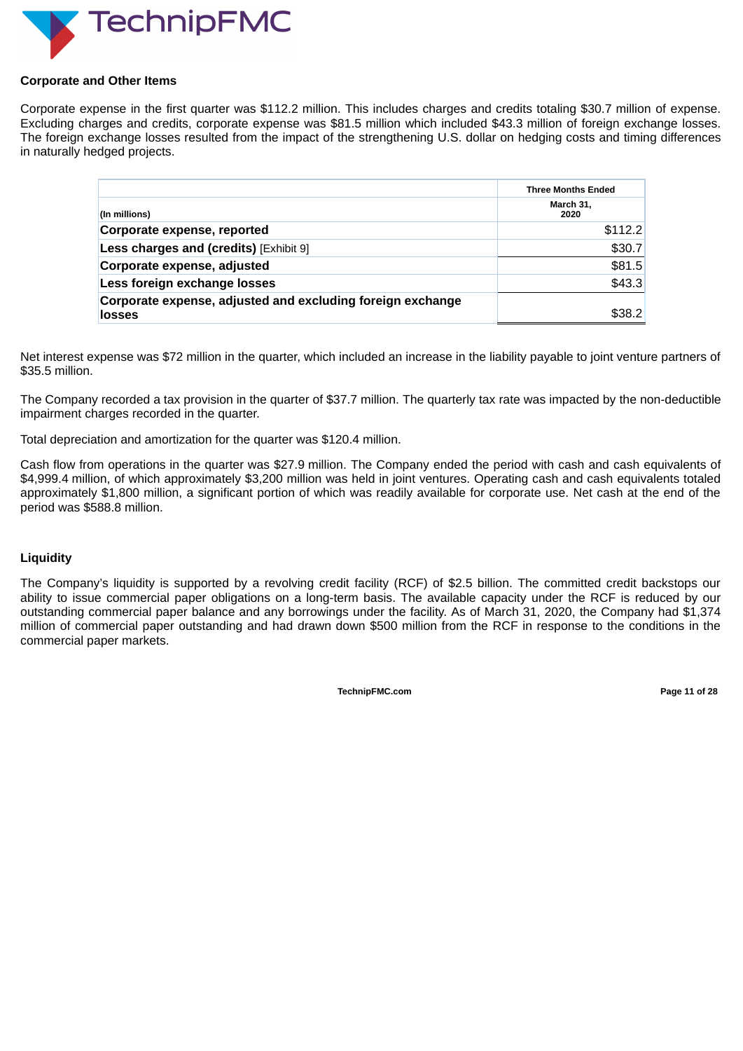

#### **Corporate and Other Items**

Corporate expense in the first quarter was \$112.2 million. This includes charges and credits totaling \$30.7 million of expense. Excluding charges and credits, corporate expense was \$81.5 million which included \$43.3 million of foreign exchange losses. The foreign exchange losses resulted from the impact of the strengthening U.S. dollar on hedging costs and timing differences in naturally hedged projects.

|                                                                             | <b>Three Months Ended</b> |  |
|-----------------------------------------------------------------------------|---------------------------|--|
| (In millions)                                                               | March 31,<br>2020         |  |
| Corporate expense, reported                                                 | \$112.2                   |  |
| Less charges and (credits) [Exhibit 9]                                      | \$30.7                    |  |
| Corporate expense, adjusted                                                 | \$81.5                    |  |
| Less foreign exchange losses                                                | \$43.3                    |  |
| Corporate expense, adjusted and excluding foreign exchange<br><b>losses</b> | \$38.2                    |  |

Net interest expense was \$72 million in the quarter, which included an increase in the liability payable to joint venture partners of \$35.5 million.

The Company recorded a tax provision in the quarter of \$37.7 million. The quarterly tax rate was impacted by the non-deductible impairment charges recorded in the quarter.

Total depreciation and amortization for the quarter was \$120.4 million.

Cash flow from operations in the quarter was \$27.9 million. The Company ended the period with cash and cash equivalents of \$4,999.4 million, of which approximately \$3,200 million was held in joint ventures. Operating cash and cash equivalents totaled approximately \$1,800 million, a significant portion of which was readily available for corporate use. Net cash at the end of the period was \$588.8 million.

#### **Liquidity**

The Company's liquidity is supported by a revolving credit facility (RCF) of \$2.5 billion. The committed credit backstops our ability to issue commercial paper obligations on a long-term basis. The available capacity under the RCF is reduced by our outstanding commercial paper balance and any borrowings under the facility. As of March 31, 2020, the Company had \$1,374 million of commercial paper outstanding and had drawn down \$500 million from the RCF in response to the conditions in the commercial paper markets.

**TechnipFMC.com Page 11 of [28](#page-31-0)**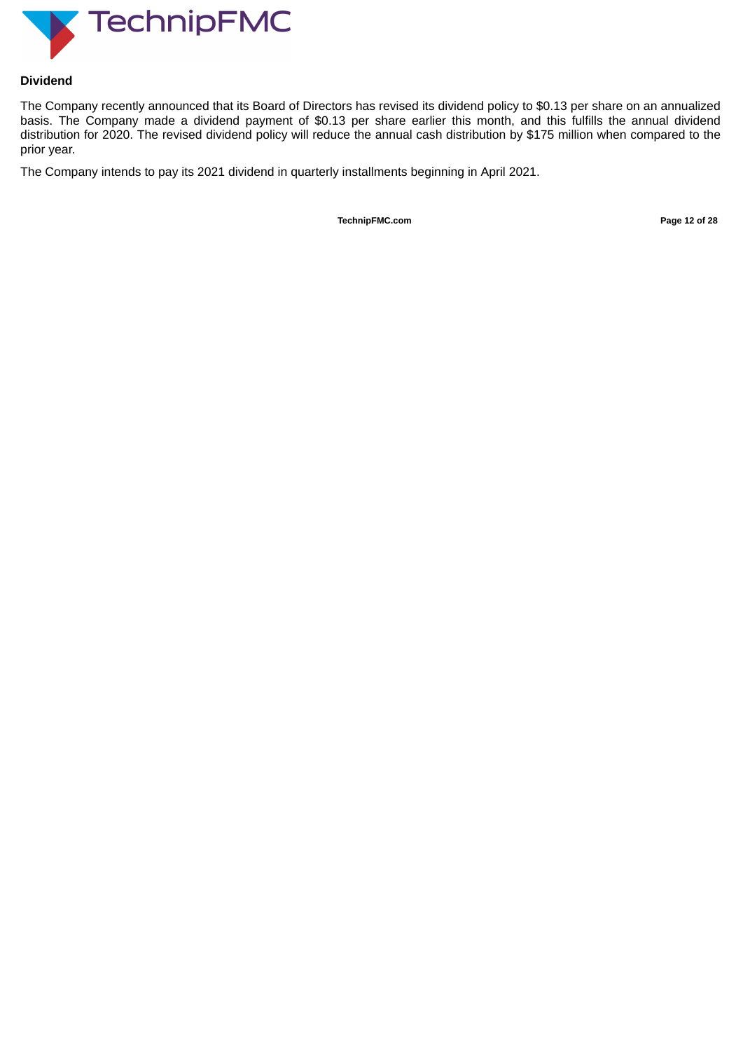

#### **Dividend**

The Company recently announced that its Board of Directors has revised its dividend policy to \$0.13 per share on an annualized basis. The Company made a dividend payment of \$0.13 per share earlier this month, and this fulfills the annual dividend distribution for 2020. The revised dividend policy will reduce the annual cash distribution by \$175 million when compared to the prior year.

The Company intends to pay its 2021 dividend in quarterly installments beginning in April 2021.

**TechnipFMC.com Page 12 of [28](#page-31-0)**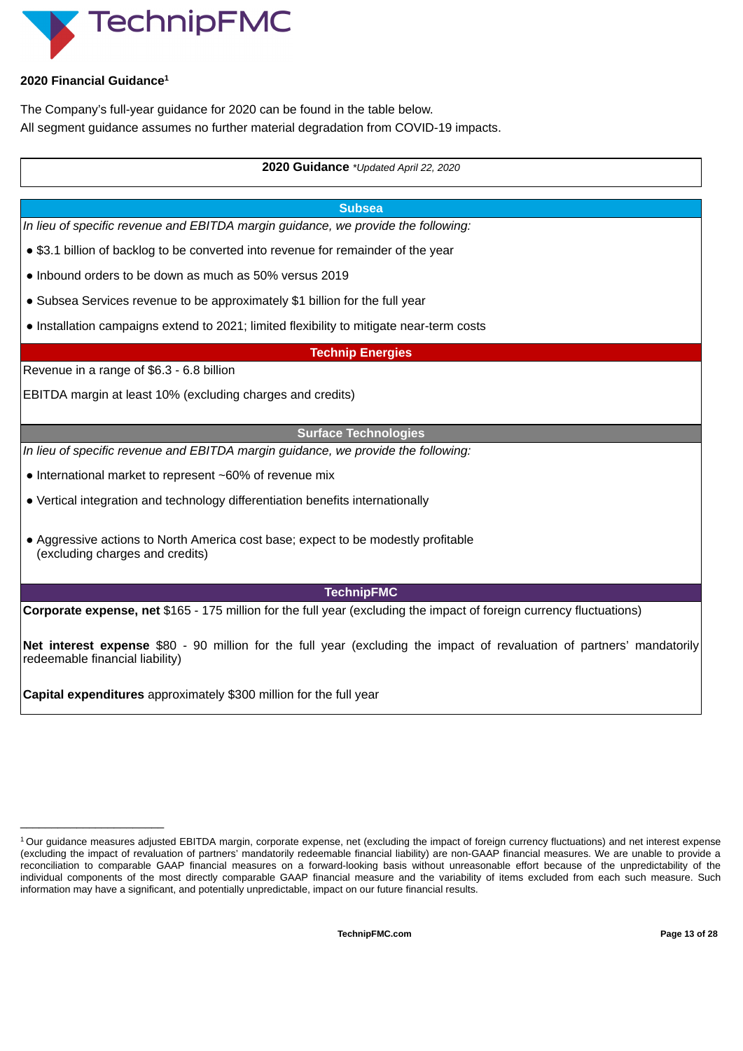

#### **2020 Financial Guidance 1**

The Company's full-year guidance for 2020 can be found in the table below. All segment guidance assumes no further material degradation from COVID-19 impacts.

#### **2020 Guidance** *\*Updated April 22, 2020*

#### **Subsea**

*In lieu of specific revenue and EBITDA margin guidance, we provide the following:*

● \$3.1 billion of backlog to be converted into revenue for remainder of the year

- Inbound orders to be down as much as 50% versus 2019
- Subsea Services revenue to be approximately \$1 billion for the full year
- Installation campaigns extend to 2021; limited flexibility to mitigate near-term costs

**Technip Energies**

Revenue in a range of \$6.3 - 6.8 billion

 $\overline{\phantom{a}}$  , where  $\overline{\phantom{a}}$  , where  $\overline{\phantom{a}}$  , where  $\overline{\phantom{a}}$ 

EBITDA margin at least 10% (excluding charges and credits)

#### **Surface Technologies**

*In lieu of specific revenue and EBITDA margin guidance, we provide the following:*

- International market to represent ~60% of revenue mix
- Vertical integration and technology differentiation benefits internationally
- Aggressive actions to North America cost base; expect to be modestly profitable (excluding charges and credits)

## **TechnipFMC**

**Corporate expense, net** \$165 - 175 million for the full year (excluding the impact of foreign currency fluctuations)

**Net interest expense** \$80 - 90 million for the full year (excluding the impact of revaluation of partners' mandatorily redeemable financial liability)

**Capital expenditures** approximately \$300 million for the full year

<sup>&</sup>lt;sup>1</sup> Our guidance measures adjusted EBITDA margin, corporate expense, net (excluding the impact of foreign currency fluctuations) and net interest expense (excluding the impact of revaluation of partners' mandatorily redeemable financial liability) are non-GAAP financial measures. We are unable to provide a reconciliation to comparable GAAP financial measures on a forward-looking basis without unreasonable effort because of the unpredictability of the individual components of the most directly comparable GAAP financial measure and the variability of items excluded from each such measure. Such information may have a significant, and potentially unpredictable, impact on our future financial results.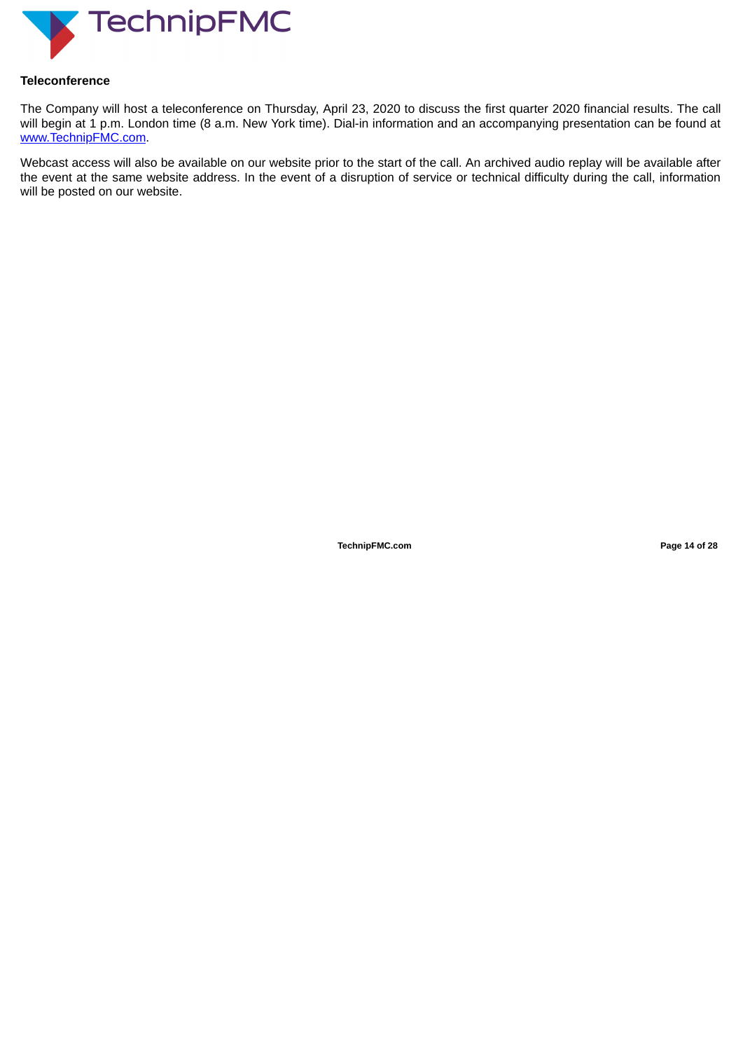

#### **Teleconference**

The Company will host a teleconference on Thursday, April 23, 2020 to discuss the first quarter 2020 financial results. The call will begin at 1 p.m. London time (8 a.m. New York time). Dial-in information and an accompanying presentation can be found at www.TechnipFMC.com.

Webcast access will also be available on our website prior to the start of the call. An archived audio replay will be available after the event at the same website address. In the event of a disruption of service or technical difficulty during the call, information will be posted on our website.

**TechnipFMC.com Page 14 of [28](#page-31-0)**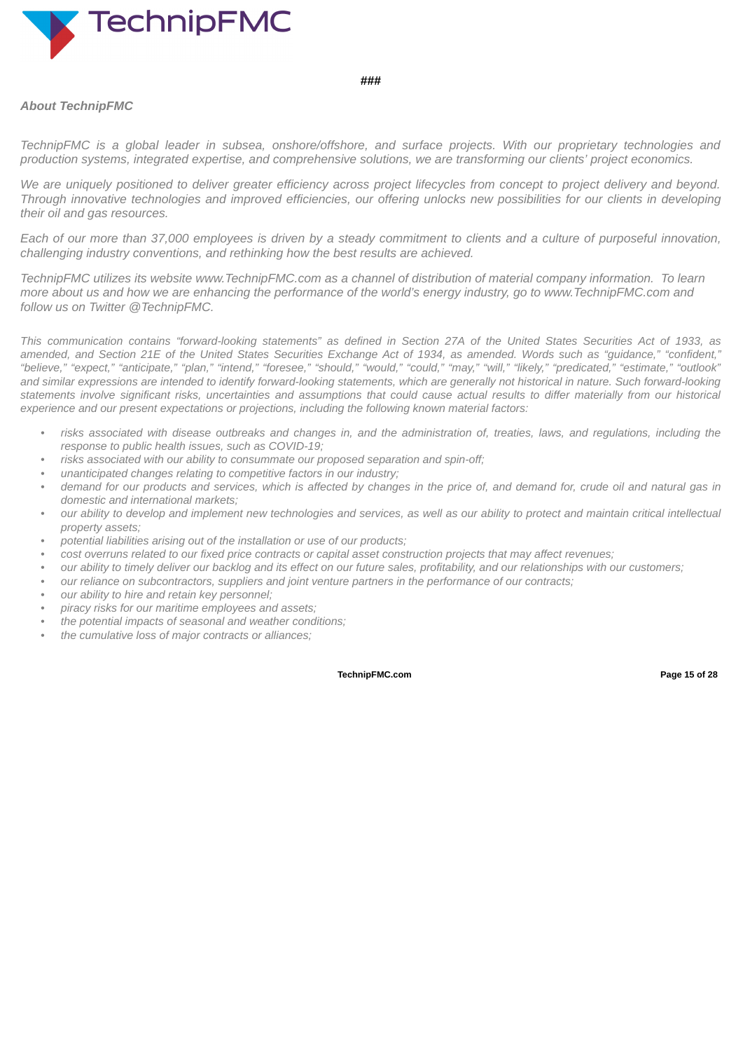

#### **###**

#### *About TechnipFMC*

TechnipFMC is a global leader in subsea, onshore/offshore, and surface projects. With our proprietary technologies and *production systems, integrated expertise, and comprehensive solutions, we are transforming our clients' project economics.*

We are uniquely positioned to deliver greater efficiency across project lifecycles from concept to project delivery and beyond. Through innovative technologies and improved efficiencies, our offering unlocks new possibilities for our clients in developing *their oil and gas resources.*

Each of our more than 37,000 employees is driven by a steady commitment to clients and a culture of purposeful innovation, *challenging industry conventions, and rethinking how the best results are achieved.*

TechnipFMC utilizes its website www.TechnipFMC.com as a channel of distribution of material company information. To learn more about us and how we are enhancing the performance of the world's energy industry, go to www.TechnipFMC.com and *follow us on Twitter @TechnipFMC.*

This communication contains "forward-looking statements" as defined in Section 27A of the United States Securities Act of 1933, as amended, and Section 21E of the United States Securities Exchange Act of 1934, as amended. Words such as "quidance," "confident," "believe." "expect." "anticipate." "plan." "intend." "foresee." "should." "would." "could." "mav." "will." "likelv." "predicated." "estimate." "outlook" and similar expressions are intended to identify forward-looking statements, which are generally not historical in nature. Such forward-looking statements involve significant risks, uncertainties and assumptions that could cause actual results to differ materially from our historical *experience and our present expectations or projections, including the following known material factors:*

- risks associated with disease outbreaks and changes in, and the administration of, treaties, laws, and regulations, including the *response to public health issues, such as COVID-19;*
- *• risks associated with our ability to consummate our proposed separation and spin-off;*
- *• unanticipated changes relating to competitive factors in our industry;*
- demand for our products and services, which is affected by changes in the price of, and demand for, crude oil and natural gas in *domestic and international markets;*
- our ability to develop and implement new technologies and services, as well as our ability to protect and maintain critical intellectual *property assets;*
- *• potential liabilities arising out of the installation or use of our products;*
- cost overruns related to our fixed price contracts or capital asset construction projects that may affect revenues;
- our ability to timely deliver our backlog and its effect on our future sales, profitability, and our relationships with our customers;
- *• our reliance on subcontractors, suppliers and joint venture partners in the performance of our contracts;*
- *• our ability to hire and retain key personnel;*
- *• piracy risks for our maritime employees and assets;*
- *• the potential impacts of seasonal and weather conditions;*
- *• the cumulative loss of major contracts or alliances;*

**TechnipFMC.com Page 15 of [28](#page-31-0)**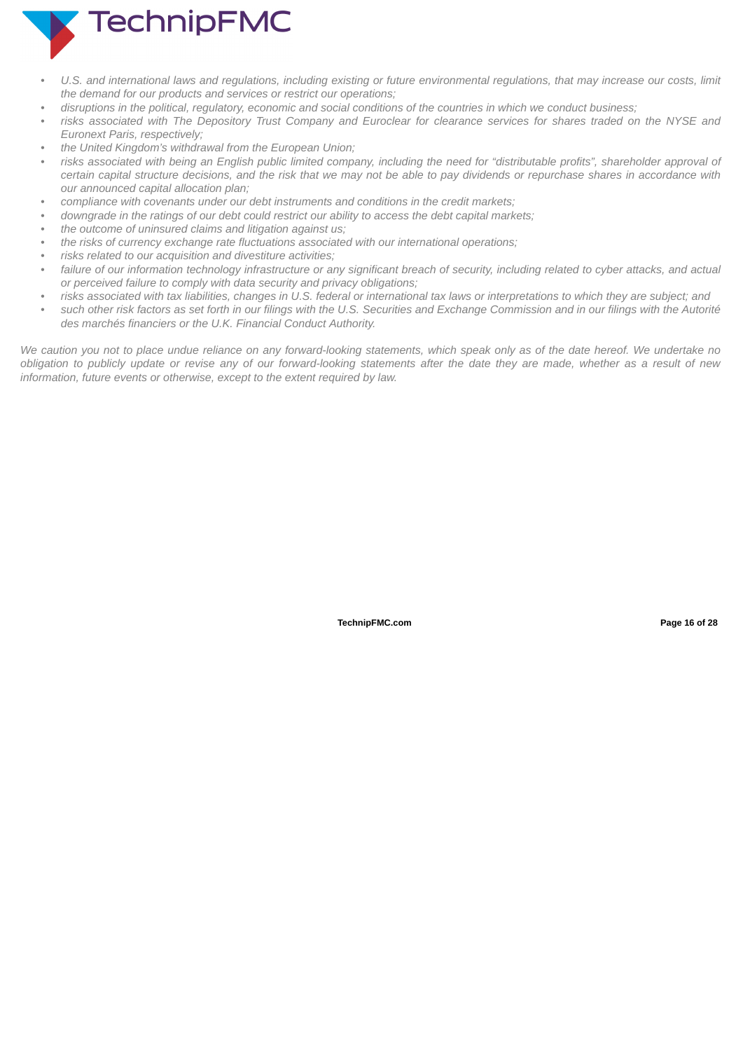

- U.S. and international laws and regulations, including existing or future environmental regulations, that may increase our costs, limit *the demand for our products and services or restrict our operations;*
- disruptions in the political, regulatory, economic and social conditions of the countries in which we conduct business;
- risks associated with The Depository Trust Company and Euroclear for clearance services for shares traded on the NYSE and *Euronext Paris, respectively;*
- *• the United Kingdom's withdrawal from the European Union;*
- risks associated with being an English public limited company, including the need for "distributable profits", shareholder approval of certain capital structure decisions, and the risk that we may not be able to pay dividends or repurchase shares in accordance with *our announced capital allocation plan;*
- *• compliance with covenants under our debt instruments and conditions in the credit markets;*
- downgrade in the ratings of our debt could restrict our ability to access the debt capital markets:
- *• the outcome of uninsured claims and litigation against us;*
- *• the risks of currency exchange rate fluctuations associated with our international operations;*
- *• risks related to our acquisition and divestiture activities;*
- failure of our information technology infrastructure or any significant breach of security, including related to cyber attacks, and actual *or perceived failure to comply with data security and privacy obligations;*
- risks associated with tax liabilities, changes in U.S. federal or international tax laws or interpretations to which they are subject; and
- such other risk factors as set forth in our filings with the U.S. Securities and Exchange Commission and in our filings with the Autorité *des marchés financiers or the U.K. Financial Conduct Authority.*

We caution you not to place undue reliance on any forward-looking statements, which speak only as of the date hereof. We undertake no obligation to publicly update or revise any of our forward-looking statements after the date they are made, whether as a result of new *information, future events or otherwise, except to the extent required by law.*

**TechnipFMC.com Page 16 of [28](#page-31-0)**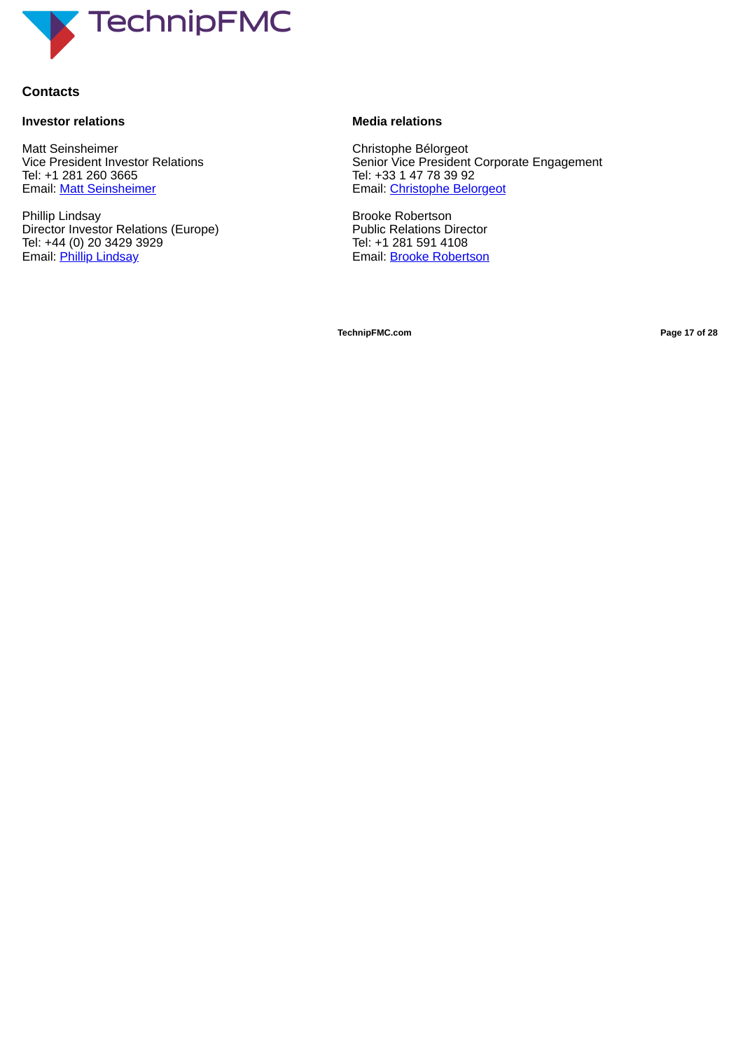

### **Contacts**

#### **Investor relations**

Matt Seinsheimer Vice President Investor Relations Tel: +1 281 260 3665 Email: Matt Seinsheimer

Phillip Lindsay Director Investor Relations (Europe) Tel: +44 (0) 20 3429 3929 Email: Phillip Lindsay

### **Media relations**

Christophe Bélorgeot Senior Vice President Corporate Engagement Tel: +33 1 47 78 39 92 Email: Christophe Belorgeot

Brooke Robertson Public Relations Director Tel: +1 281 591 4108 Email: Brooke Robertson

**TechnipFMC.com Page 17 of [28](#page-31-0)**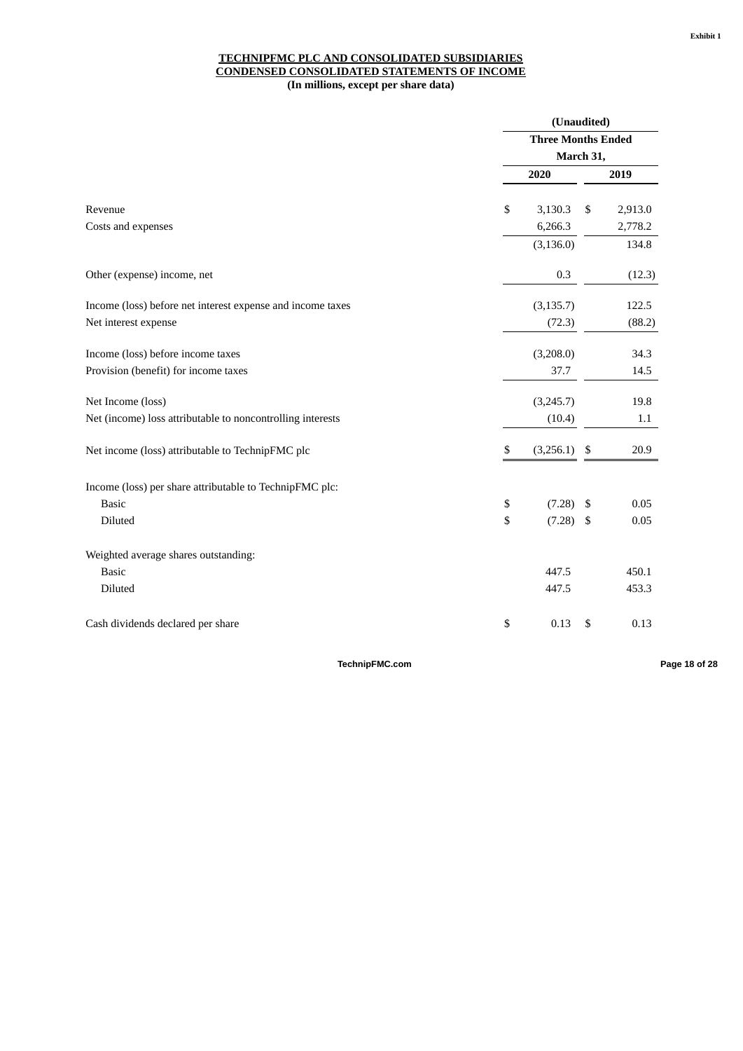#### **TECHNIPFMC PLC AND CONSOLIDATED SUBSIDIARIES CONDENSED CONSOLIDATED STATEMENTS OF INCOME (In millions, except per share data)**

|                                                            | (Unaudited)               |     |         |  |
|------------------------------------------------------------|---------------------------|-----|---------|--|
|                                                            | <b>Three Months Ended</b> |     |         |  |
|                                                            | March 31,                 |     |         |  |
|                                                            | 2020                      |     | 2019    |  |
| Revenue                                                    | \$<br>3,130.3             | \$  | 2,913.0 |  |
| Costs and expenses                                         | 6,266.3                   |     | 2,778.2 |  |
|                                                            | (3, 136.0)                |     | 134.8   |  |
| Other (expense) income, net                                | 0.3                       |     | (12.3)  |  |
| Income (loss) before net interest expense and income taxes | (3, 135.7)                |     | 122.5   |  |
| Net interest expense                                       | (72.3)                    |     | (88.2)  |  |
| Income (loss) before income taxes                          | (3,208.0)                 |     | 34.3    |  |
| Provision (benefit) for income taxes                       | 37.7                      |     | 14.5    |  |
| Net Income (loss)                                          | (3,245.7)                 |     | 19.8    |  |
| Net (income) loss attributable to noncontrolling interests | (10.4)                    |     | 1.1     |  |
| Net income (loss) attributable to TechnipFMC plc           | \$<br>(3,256.1)           | \$  | 20.9    |  |
| Income (loss) per share attributable to TechnipFMC plc:    |                           |     |         |  |
| <b>Basic</b>                                               | \$<br>(7.28)              | -\$ | 0.05    |  |
| Diluted                                                    | \$<br>(7.28)              | -\$ | 0.05    |  |
| Weighted average shares outstanding:                       |                           |     |         |  |
| <b>Basic</b>                                               | 447.5                     |     | 450.1   |  |
| Diluted                                                    | 447.5                     |     | 453.3   |  |
| Cash dividends declared per share                          | \$<br>0.13                | \$  | 0.13    |  |

**TechnipFMC.com Page 18 of [28](#page-31-0)**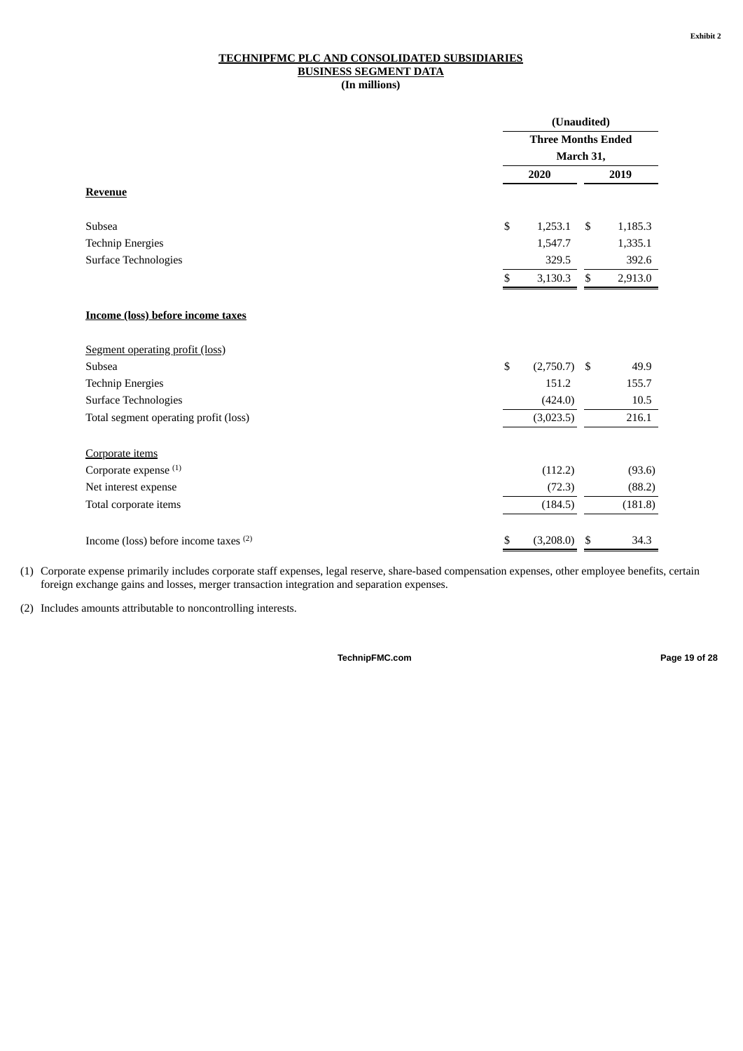#### **TECHNIPFMC PLC AND CONSOLIDATED SUBSIDIARIES BUSINESS SEGMENT DATA (In millions)**

|                                          |    | (Unaudited)<br><b>Three Months Ended</b><br>March 31, |    |         |
|------------------------------------------|----|-------------------------------------------------------|----|---------|
|                                          |    |                                                       |    |         |
|                                          |    |                                                       |    |         |
|                                          |    | 2020                                                  |    | 2019    |
| <b>Revenue</b>                           |    |                                                       |    |         |
|                                          |    |                                                       |    |         |
| Subsea                                   | \$ | 1,253.1                                               | \$ | 1,185.3 |
| <b>Technip Energies</b>                  |    | 1,547.7                                               |    | 1,335.1 |
| <b>Surface Technologies</b>              |    | 329.5                                                 |    | 392.6   |
|                                          | \$ | 3,130.3                                               | \$ | 2,913.0 |
| <b>Income (loss) before income taxes</b> |    |                                                       |    |         |
| Segment operating profit (loss)          |    |                                                       |    |         |
| Subsea                                   | \$ | $(2,750.7)$ \$                                        |    | 49.9    |
| <b>Technip Energies</b>                  |    | 151.2                                                 |    | 155.7   |
| <b>Surface Technologies</b>              |    | (424.0)                                               |    | 10.5    |
| Total segment operating profit (loss)    |    | (3,023.5)                                             |    | 216.1   |
| Corporate items                          |    |                                                       |    |         |
| Corporate expense (1)                    |    | (112.2)                                               |    | (93.6)  |
| Net interest expense                     |    | (72.3)                                                |    | (88.2)  |
| Total corporate items                    |    | (184.5)                                               |    | (181.8) |
|                                          |    |                                                       |    |         |
| Income (loss) before income taxes (2)    | \$ | (3,208.0)                                             | \$ | 34.3    |

(1) Corporate expense primarily includes corporate staff expenses, legal reserve, share-based compensation expenses, other employee benefits, certain foreign exchange gains and losses, merger transaction integration and separation expenses.

(2) Includes amounts attributable to noncontrolling interests.

**TechnipFMC.com Page 19 of [28](#page-31-0)**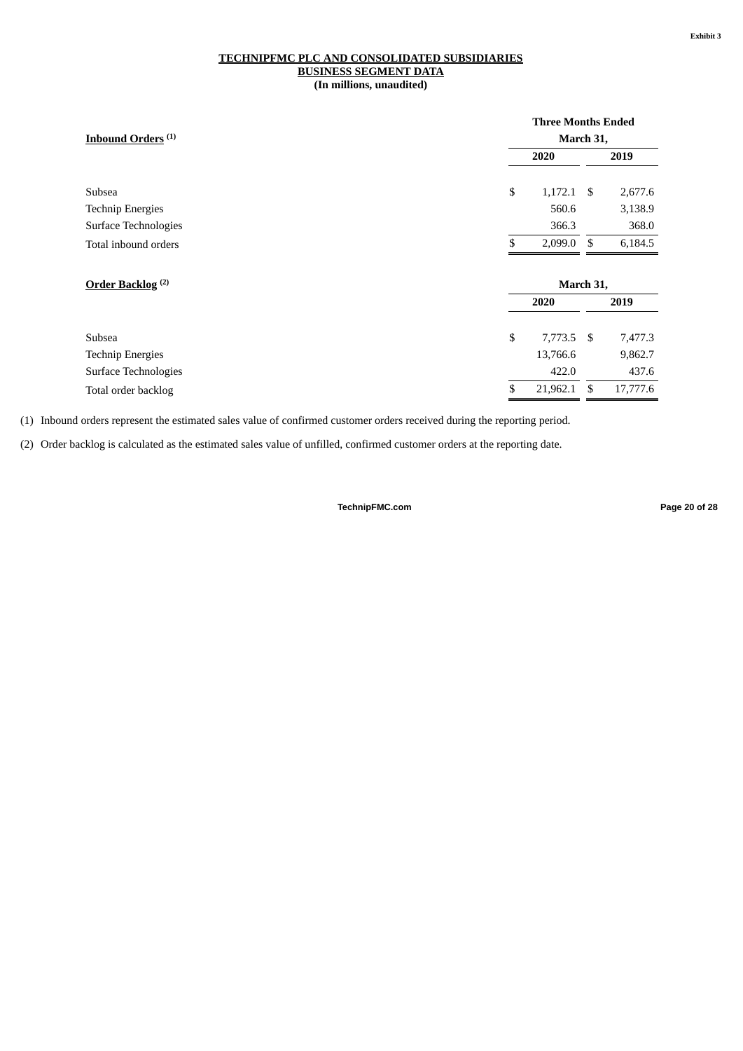#### **TECHNIPFMC PLC AND CONSOLIDATED SUBSIDIARIES BUSINESS SEGMENT DATA (In millions, unaudited)**

|                               | <b>Three Months Ended</b> |      |           |  |
|-------------------------------|---------------------------|------|-----------|--|
| Inbound Orders <sup>(1)</sup> |                           |      | March 31, |  |
|                               | 2020                      |      | 2019      |  |
| Subsea                        | \$<br>1,172.1             | -\$  | 2,677.6   |  |
| <b>Technip Energies</b>       | 560.6                     |      | 3,138.9   |  |
| Surface Technologies          | 366.3                     |      | 368.0     |  |
| Total inbound orders          | \$<br>2,099.0             | \$   | 6,184.5   |  |
|                               |                           |      |           |  |
| Order Backlog <sup>(2)</sup>  | March 31,                 |      |           |  |
|                               | 2020                      |      | 2019      |  |
|                               |                           |      |           |  |
| Subsea                        | \$<br>7,773.5             | - \$ | 7,477.3   |  |
| <b>Technip Energies</b>       | 13,766.6                  |      | 9,862.7   |  |
| Surface Technologies          | 422.0                     |      | 437.6     |  |
| Total order backlog           | \$<br>21,962.1            | \$   | 17,777.6  |  |

(1) Inbound orders represent the estimated sales value of confirmed customer orders received during the reporting period.

(2) Order backlog is calculated as the estimated sales value of unfilled, confirmed customer orders at the reporting date.

**TechnipFMC.com Page 20 of [28](#page-31-0)**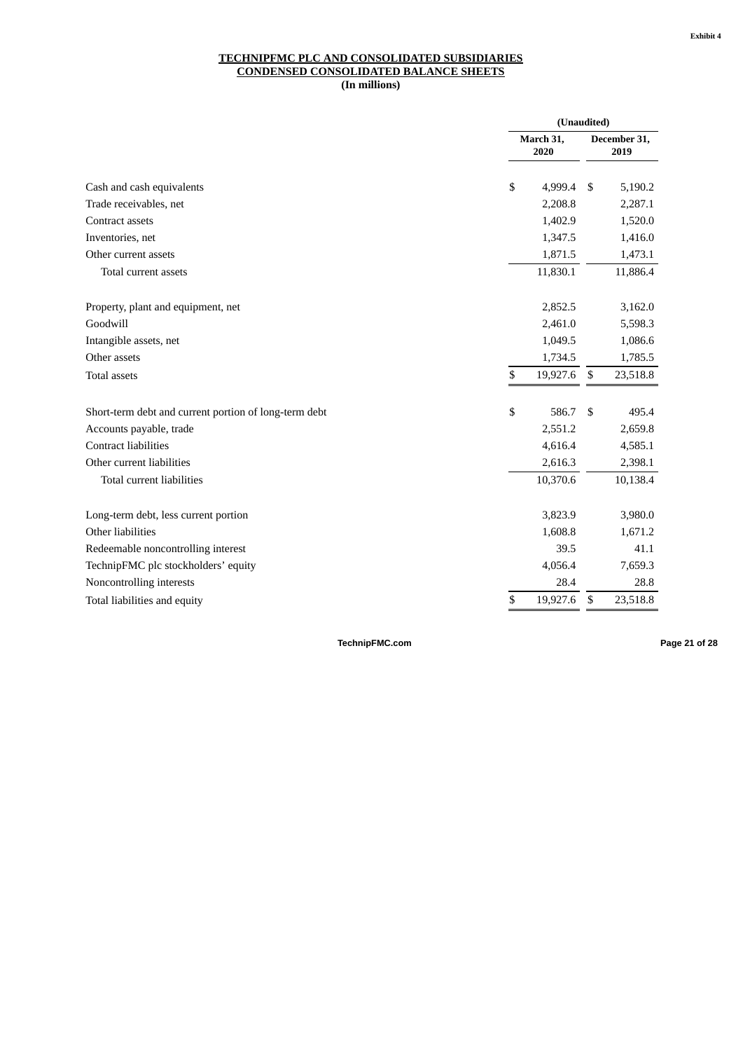#### **TECHNIPFMC PLC AND CONSOLIDATED SUBSIDIARIES CONDENSED CONSOLIDATED BALANCE SHEETS (In millions)**

|                                                       | (Unaudited)       |    |                      |
|-------------------------------------------------------|-------------------|----|----------------------|
|                                                       | March 31,<br>2020 |    | December 31,<br>2019 |
| Cash and cash equivalents                             | \$<br>4,999.4     | \$ | 5,190.2              |
| Trade receivables, net                                | 2,208.8           |    | 2,287.1              |
| Contract assets                                       | 1,402.9           |    | 1,520.0              |
| Inventories, net                                      | 1,347.5           |    | 1,416.0              |
| Other current assets                                  | 1,871.5           |    | 1,473.1              |
| Total current assets                                  | 11,830.1          |    | 11,886.4             |
| Property, plant and equipment, net                    | 2,852.5           |    | 3,162.0              |
| Goodwill                                              | 2,461.0           |    | 5,598.3              |
| Intangible assets, net                                | 1,049.5           |    | 1,086.6              |
| Other assets                                          | 1,734.5           |    | 1,785.5              |
| <b>Total assets</b>                                   | \$<br>19,927.6    | \$ | 23,518.8             |
| Short-term debt and current portion of long-term debt | \$<br>586.7       | \$ | 495.4                |
| Accounts payable, trade                               | 2,551.2           |    | 2,659.8              |
| <b>Contract liabilities</b>                           | 4,616.4           |    | 4,585.1              |
| Other current liabilities                             | 2,616.3           |    | 2,398.1              |
| Total current liabilities                             | 10,370.6          |    | 10,138.4             |
| Long-term debt, less current portion                  | 3,823.9           |    | 3,980.0              |
| Other liabilities                                     | 1,608.8           |    | 1,671.2              |
| Redeemable noncontrolling interest                    | 39.5              |    | 41.1                 |
| TechnipFMC plc stockholders' equity                   | 4,056.4           |    | 7,659.3              |
| Noncontrolling interests                              | 28.4              |    | 28.8                 |
| Total liabilities and equity                          | \$<br>19,927.6    | \$ | 23,518.8             |

**TechnipFMC.com Page 21 of [28](#page-31-0)**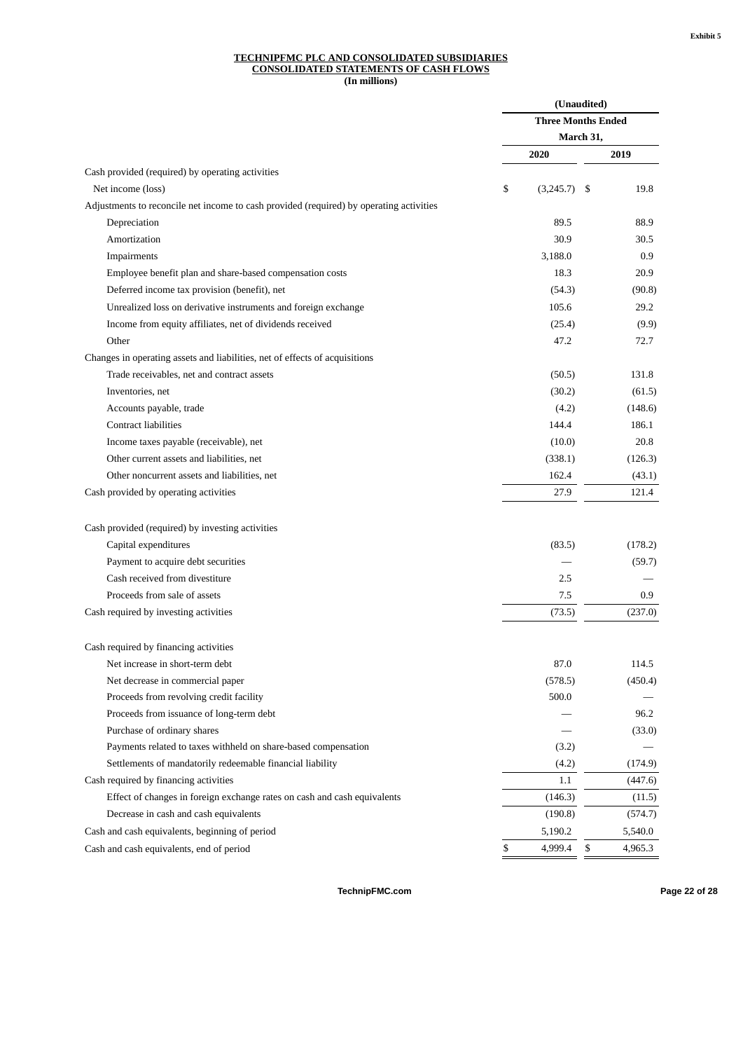#### **TECHNIPFMC PLC AND CONSOLIDATED SUBSIDIARIES CONSOLIDATED STATEMENTS OF CASH FLOWS (In millions)**

| (Unaudited)<br><b>Three Months Ended</b><br>March 31,<br>2020<br>2019<br>Cash provided (required) by operating activities<br>\$<br>Net income (loss)<br>\$<br>19.8<br>(3,245.7) |
|---------------------------------------------------------------------------------------------------------------------------------------------------------------------------------|
|                                                                                                                                                                                 |
|                                                                                                                                                                                 |
|                                                                                                                                                                                 |
|                                                                                                                                                                                 |
|                                                                                                                                                                                 |
| Adjustments to reconcile net income to cash provided (required) by operating activities                                                                                         |
| 89.5<br>88.9<br>Depreciation                                                                                                                                                    |
| Amortization<br>30.9<br>30.5                                                                                                                                                    |
| 3,188.0<br>0.9<br>Impairments                                                                                                                                                   |
| 18.3<br>20.9<br>Employee benefit plan and share-based compensation costs                                                                                                        |
| Deferred income tax provision (benefit), net<br>(90.8)<br>(54.3)                                                                                                                |
| 105.6<br>29.2<br>Unrealized loss on derivative instruments and foreign exchange                                                                                                 |
| Income from equity affiliates, net of dividends received<br>(25.4)<br>(9.9)                                                                                                     |
| Other<br>47.2<br>72.7                                                                                                                                                           |
| Changes in operating assets and liabilities, net of effects of acquisitions                                                                                                     |
| Trade receivables, net and contract assets<br>(50.5)<br>131.8                                                                                                                   |
| Inventories, net<br>(30.2)<br>(61.5)                                                                                                                                            |
| Accounts payable, trade<br>(4.2)<br>(148.6)                                                                                                                                     |
| <b>Contract liabilities</b><br>186.1<br>144.4                                                                                                                                   |
| 20.8<br>Income taxes payable (receivable), net<br>(10.0)                                                                                                                        |
| Other current assets and liabilities, net<br>(338.1)<br>(126.3)                                                                                                                 |
| 162.4<br>Other noncurrent assets and liabilities, net<br>(43.1)                                                                                                                 |
| 27.9<br>121.4<br>Cash provided by operating activities                                                                                                                          |
|                                                                                                                                                                                 |
| Cash provided (required) by investing activities                                                                                                                                |
| Capital expenditures<br>(83.5)<br>(178.2)                                                                                                                                       |
| Payment to acquire debt securities<br>(59.7)                                                                                                                                    |
| Cash received from divestiture<br>2.5                                                                                                                                           |
| Proceeds from sale of assets<br>7.5<br>0.9                                                                                                                                      |
| Cash required by investing activities<br>(73.5)<br>(237.0)                                                                                                                      |
| Cash required by financing activities                                                                                                                                           |
| 87.0<br>Net increase in short-term debt<br>114.5                                                                                                                                |
| Net decrease in commercial paper<br>(578.5)<br>(450.4)                                                                                                                          |
| Proceeds from revolving credit facility<br>500.0                                                                                                                                |
| Proceeds from issuance of long-term debt<br>96.2                                                                                                                                |
| Purchase of ordinary shares<br>(33.0)                                                                                                                                           |
| Payments related to taxes withheld on share-based compensation<br>(3.2)                                                                                                         |
| Settlements of mandatorily redeemable financial liability<br>(4.2)<br>(174.9)                                                                                                   |
| Cash required by financing activities<br>(447.6)<br>1.1                                                                                                                         |
| Effect of changes in foreign exchange rates on cash and cash equivalents<br>(146.3)<br>(11.5)                                                                                   |
| Decrease in cash and cash equivalents<br>(190.8)<br>(574.7)                                                                                                                     |
| Cash and cash equivalents, beginning of period<br>5,190.2<br>5,540.0                                                                                                            |
| \$<br>4,999.4<br>\$<br>4,965.3<br>Cash and cash equivalents, end of period                                                                                                      |

**TechnipFMC.com Page 22 of [28](#page-31-0)**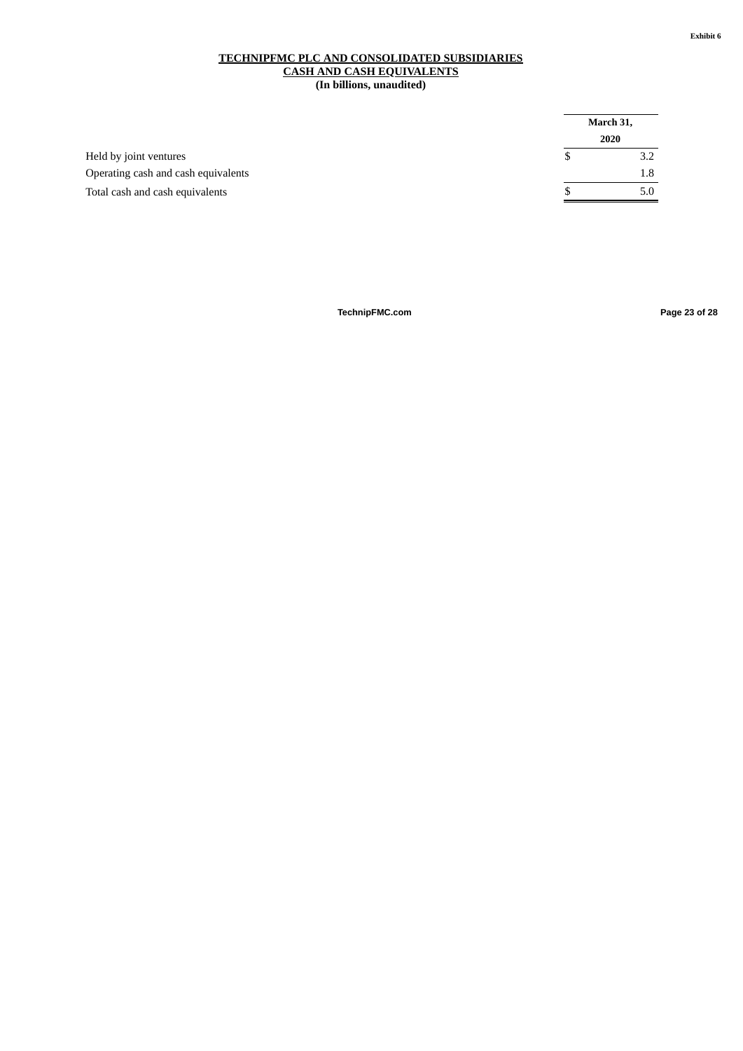#### **TECHNIPFMC PLC AND CONSOLIDATED SUBSIDIARIES CASH AND CASH EQUIVALENTS (In billions, unaudited)**

|                                     | March 31, |  |  |
|-------------------------------------|-----------|--|--|
|                                     | 2020      |  |  |
| Held by joint ventures              | 3.2       |  |  |
| Operating cash and cash equivalents | 1.8       |  |  |
| Total cash and cash equivalents     | 5.0       |  |  |

**TechnipFMC.com Page 23 of [28](#page-31-0)**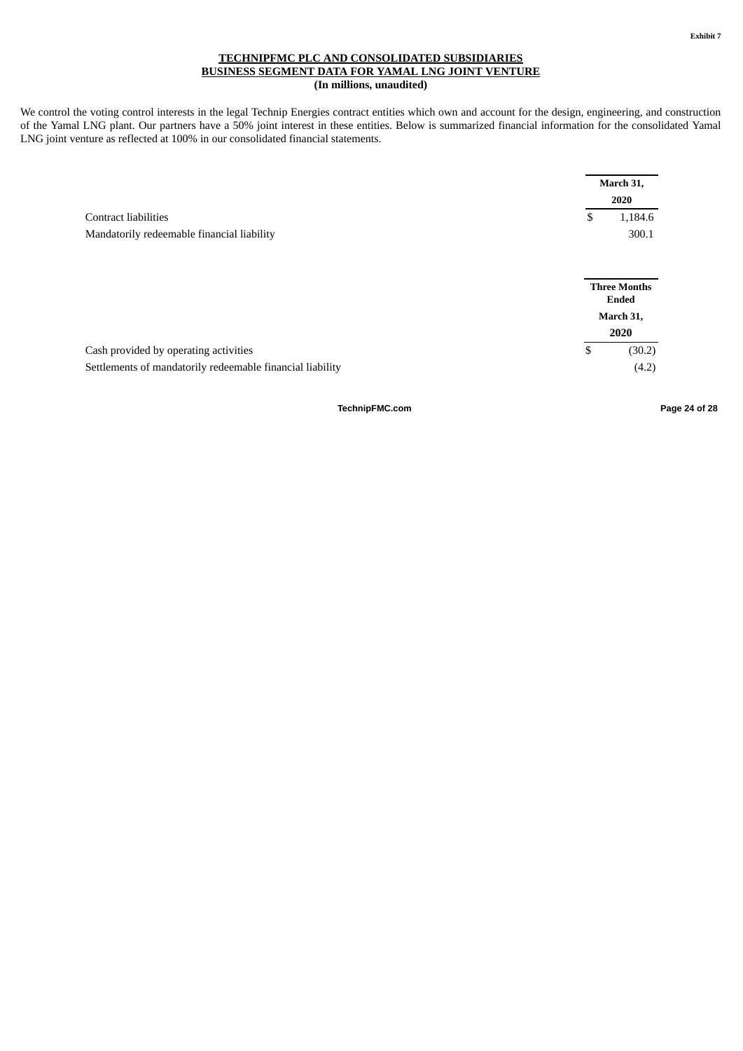#### **TECHNIPFMC PLC AND CONSOLIDATED SUBSIDIARIES BUSINESS SEGMENT DATA FOR YAMAL LNG JOINT VENTURE (In millions, unaudited)**

We control the voting control interests in the legal Technip Energies contract entities which own and account for the design, engineering, and construction of the Yamal LNG plant. Our partners have a 50% joint interest in these entities. Below is summarized financial information for the consolidated Yamal LNG joint venture as reflected at 100% in our consolidated financial statements.

|                                                           | March 31,                                         |
|-----------------------------------------------------------|---------------------------------------------------|
|                                                           | 2020                                              |
| <b>Contract liabilities</b>                               | 1,184.6<br>\$                                     |
| Mandatorily redeemable financial liability                | 300.1                                             |
|                                                           | <b>Three Months</b><br>Ended<br>March 31,<br>2020 |
| Cash provided by operating activities                     | \$<br>(30.2)                                      |
| Settlements of mandatorily redeemable financial liability | (4.2)                                             |

**TechnipFMC.com Page 24 of [28](#page-31-0)**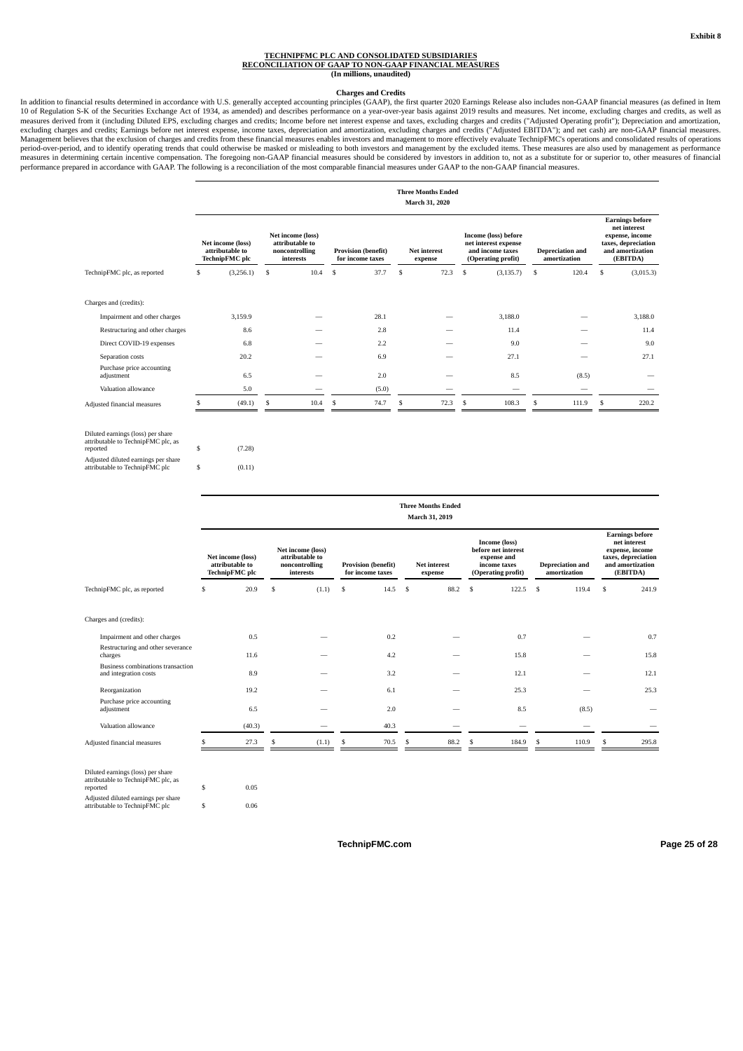#### **TECHNIPFMC PLC AND CONSOLIDATED SUBSIDIARIES RECONCILIATION OF GAAP TO NON-GAAP FINANCIAL MEASURES (In millions, unaudited)**

Charges and Credits<br>In addition to financial results determined in accordance with U.S. generally accepted accounting principles (GAAP), the first quarter 2020 Earnings Release also includes non-GAAP financial measures (as 10 of Regulation S-K of the Securities Exchange Act of 1934, as amended) and describes performance on a year-over-year basis against 2019 results and measures. Net income, excluding charges and credits, as well as measures derived from it (including Diluted EPS, excluding charges and credits; Income before net interest expense and taxes, excluding charges and credits ("Adjusted Operating profit"); Depreciation and amortization,<br>excl Management believes that the exclusion of charges and credits from these financial measures enables investors and management to more effectively evaluate TechnipFMC's operations and consolidated results of operations<br>perio performance prepared in accordance with GAAP. The following is a reconciliation of the most comparable financial measures under GAAP to the non-GAAP financial measures.

|                                         |                                                               |   |                                                                     |                                                |    | <b>Three Months Ended</b><br>March 31, 2020 |                                                                                               |    |                                         |   |                                                                                                                  |
|-----------------------------------------|---------------------------------------------------------------|---|---------------------------------------------------------------------|------------------------------------------------|----|---------------------------------------------|-----------------------------------------------------------------------------------------------|----|-----------------------------------------|---|------------------------------------------------------------------------------------------------------------------|
|                                         | Net income (loss)<br>attributable to<br><b>TechnipFMC</b> plc |   | Net income (loss)<br>attributable to<br>noncontrolling<br>interests | <b>Provision (benefit)</b><br>for income taxes |    | <b>Net interest</b><br>expense              | <b>Income (loss) before</b><br>net interest expense<br>and income taxes<br>(Operating profit) |    | <b>Depreciation</b> and<br>amortization |   | <b>Earnings before</b><br>net interest<br>expense, income<br>taxes, depreciation<br>and amortization<br>(EBITDA) |
| TechnipFMC plc, as reported             | \$<br>(3,256.1)                                               | s | 10.4                                                                | \$<br>37.7                                     | \$ | 72.3                                        | \$<br>(3, 135.7)                                                                              | \$ | 120.4                                   | S | (3,015.3)                                                                                                        |
| Charges and (credits):                  |                                                               |   |                                                                     |                                                |    |                                             |                                                                                               |    |                                         |   |                                                                                                                  |
| Impairment and other charges            | 3,159.9                                                       |   |                                                                     | 28.1                                           |    |                                             | 3,188.0                                                                                       |    |                                         |   | 3,188.0                                                                                                          |
| Restructuring and other charges         | 8.6                                                           |   |                                                                     | 2.8                                            |    |                                             | 11.4                                                                                          |    |                                         |   | 11.4                                                                                                             |
| Direct COVID-19 expenses                | 6.8                                                           |   |                                                                     | 2.2                                            |    |                                             | 9.0                                                                                           |    |                                         |   | 9.0                                                                                                              |
| Separation costs                        | 20.2                                                          |   |                                                                     | 6.9                                            |    |                                             | 27.1                                                                                          |    |                                         |   | 27.1                                                                                                             |
| Purchase price accounting<br>adjustment | 6.5                                                           |   |                                                                     | 2.0                                            |    |                                             | 8.5                                                                                           |    | (8.5)                                   |   |                                                                                                                  |
| Valuation allowance                     | 5.0                                                           |   |                                                                     | (5.0)                                          |    |                                             |                                                                                               |    |                                         |   |                                                                                                                  |
| Adjusted financial measures             | (49.1)                                                        | S | 10.4                                                                | \$<br>74.7                                     | S  | 72.3                                        | \$<br>108.3                                                                                   | S  | 111.9                                   | S | 220.2                                                                                                            |
| Diluted earnings (loss) per share       |                                                               |   |                                                                     |                                                |    |                                             |                                                                                               |    |                                         |   |                                                                                                                  |

| Diffed earnings (loss) per share<br>attributable to TechnipFMC plc, as<br>reported | \$ | (7.28) |
|------------------------------------------------------------------------------------|----|--------|
| Adjusted diluted earnings per share<br>attributable to TechnipFMC plc              | S  | (0.11) |

|                                                                                     |                                                               |                                                                     |   |                                                |    | <b>Three Months Ended</b><br>March 31, 2019 |    |                                                                                           |   |                                         |     |                                                                                                                  |
|-------------------------------------------------------------------------------------|---------------------------------------------------------------|---------------------------------------------------------------------|---|------------------------------------------------|----|---------------------------------------------|----|-------------------------------------------------------------------------------------------|---|-----------------------------------------|-----|------------------------------------------------------------------------------------------------------------------|
|                                                                                     | Net income (loss)<br>attributable to<br><b>TechnipFMC</b> plc | Net income (loss)<br>attributable to<br>noncontrolling<br>interests |   | <b>Provision (benefit)</b><br>for income taxes |    | Net interest<br>expense                     |    | Income (loss)<br>before net interest<br>expense and<br>income taxes<br>(Operating profit) |   | <b>Depreciation</b> and<br>amortization |     | <b>Earnings before</b><br>net interest<br>expense, income<br>taxes, depreciation<br>and amortization<br>(EBITDA) |
| TechnipFMC plc, as reported                                                         | \$<br>20.9                                                    | \$<br>(1.1)                                                         | S | 14.5                                           | -S | 88.2                                        | \$ | 122.5                                                                                     | S | 119.4                                   | \$  | 241.9                                                                                                            |
| Charges and (credits):                                                              |                                                               |                                                                     |   |                                                |    |                                             |    |                                                                                           |   |                                         |     |                                                                                                                  |
| Impairment and other charges                                                        | 0.5                                                           |                                                                     |   | 0.2                                            |    |                                             |    | 0.7                                                                                       |   |                                         |     | 0.7                                                                                                              |
| Restructuring and other severance<br>charges                                        | 11.6                                                          |                                                                     |   | 4.2                                            |    |                                             |    | 15.8                                                                                      |   |                                         |     | 15.8                                                                                                             |
| Business combinations transaction<br>and integration costs                          | 8.9                                                           |                                                                     |   | 3.2                                            |    |                                             |    | 12.1                                                                                      |   |                                         |     | 12.1                                                                                                             |
| Reorganization                                                                      | 19.2                                                          |                                                                     |   | 6.1                                            |    |                                             |    | 25.3                                                                                      |   |                                         |     | 25.3                                                                                                             |
| Purchase price accounting<br>adjustment                                             | 6.5                                                           |                                                                     |   | 2.0                                            |    |                                             |    | 8.5                                                                                       |   | (8.5)                                   |     |                                                                                                                  |
| Valuation allowance                                                                 | (40.3)                                                        |                                                                     |   | 40.3                                           |    |                                             |    |                                                                                           |   |                                         |     |                                                                                                                  |
| Adjusted financial measures                                                         | 27.3                                                          | \$<br>(1.1)                                                         | S | 70.5                                           | S  | 88.2                                        | Ŝ. | 184.9                                                                                     | S | 110.9                                   | \$. | 295.8                                                                                                            |
| Diluted earnings (loss) per share<br>attributable to TechnipFMC plc, as<br>reported | \$<br>0.05                                                    |                                                                     |   |                                                |    |                                             |    |                                                                                           |   |                                         |     |                                                                                                                  |

Adjusted diluted earnings per share attributable to TechnipFMC plc \$ 0.06

**TechnipFMC.com Page 25 of [28](#page-31-0)**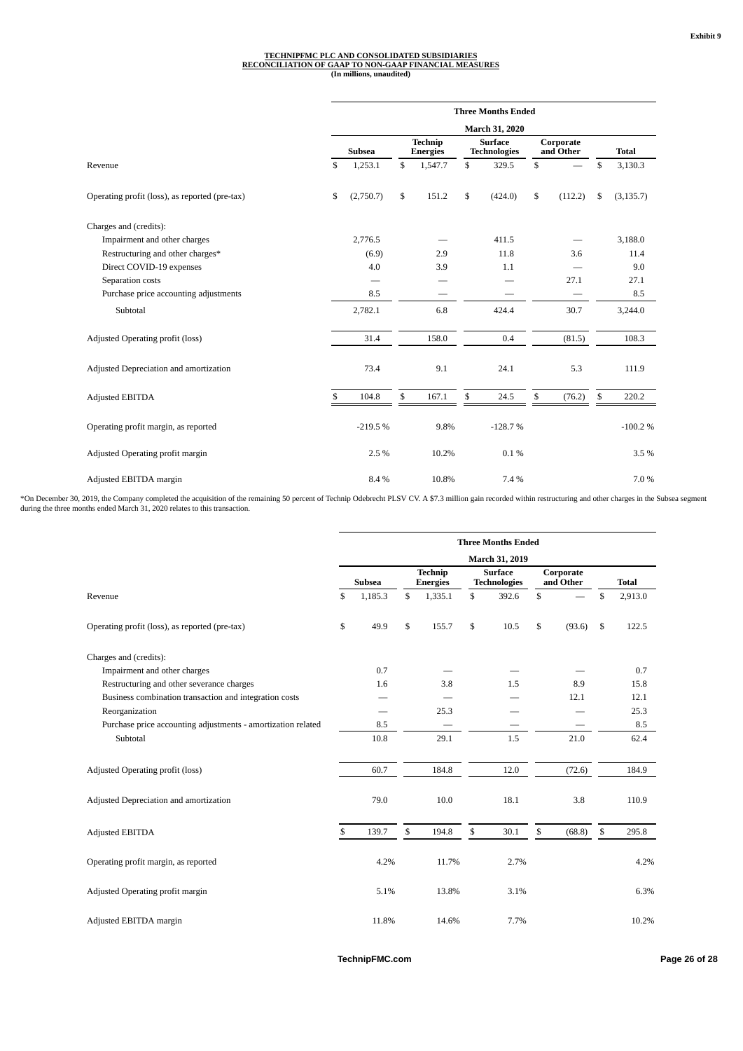# TECHNIPFMC PLC AND CONSOLIDATED SUBSIDIARIES<br>RECONCILIATION OF GAAP TO NON-GAAP FINANCIAL MEASURES<br>(In millions, unaudited)

|                                                |                | <b>Three Months Ended</b> |                                   |         |                                       |           |    |                        |    |              |  |  |  |
|------------------------------------------------|----------------|---------------------------|-----------------------------------|---------|---------------------------------------|-----------|----|------------------------|----|--------------|--|--|--|
|                                                | March 31, 2020 |                           |                                   |         |                                       |           |    |                        |    |              |  |  |  |
|                                                |                | <b>Subsea</b>             | <b>Technip</b><br><b>Energies</b> |         | <b>Surface</b><br><b>Technologies</b> |           |    | Corporate<br>and Other |    | <b>Total</b> |  |  |  |
| Revenue                                        | \$             | 1,253.1                   | $\mathbb{S}$                      | 1,547.7 | \$                                    | 329.5     | \$ |                        | \$ | 3,130.3      |  |  |  |
| Operating profit (loss), as reported (pre-tax) | \$             | (2,750.7)                 | \$                                | 151.2   | \$                                    | (424.0)   | \$ | (112.2)                | \$ | (3, 135.7)   |  |  |  |
| Charges and (credits):                         |                |                           |                                   |         |                                       |           |    |                        |    |              |  |  |  |
| Impairment and other charges                   |                | 2,776.5                   |                                   |         |                                       | 411.5     |    |                        |    | 3,188.0      |  |  |  |
| Restructuring and other charges*               |                | (6.9)                     |                                   | 2.9     |                                       | 11.8      |    | 3.6                    |    | 11.4         |  |  |  |
| Direct COVID-19 expenses                       |                | 4.0                       |                                   | 3.9     |                                       | 1.1       |    |                        |    | 9.0          |  |  |  |
| Separation costs                               |                |                           |                                   |         |                                       |           |    | 27.1                   |    | 27.1         |  |  |  |
| Purchase price accounting adjustments          |                | 8.5                       |                                   |         |                                       |           |    |                        |    | 8.5          |  |  |  |
| Subtotal                                       |                | 2,782.1                   |                                   | 6.8     |                                       | 424.4     |    | 30.7                   |    | 3,244.0      |  |  |  |
| Adjusted Operating profit (loss)               |                | 31.4                      |                                   | 158.0   |                                       | 0.4       |    | (81.5)                 |    | 108.3        |  |  |  |
| Adjusted Depreciation and amortization         |                | 73.4                      |                                   | 9.1     |                                       | 24.1      |    | 5.3                    |    | 111.9        |  |  |  |
| <b>Adjusted EBITDA</b>                         | \$             | 104.8                     | \$                                | 167.1   | \$                                    | 24.5      | \$ | (76.2)                 | \$ | 220.2        |  |  |  |
| Operating profit margin, as reported           |                | $-219.5%$                 |                                   | 9.8%    |                                       | $-128.7%$ |    |                        |    | $-100.2%$    |  |  |  |
| Adjusted Operating profit margin               |                | 2.5%                      |                                   | 10.2%   |                                       | 0.1%      |    |                        |    | 3.5%         |  |  |  |
| Adjusted EBITDA margin                         |                | 8.4%                      |                                   | 10.8%   |                                       | 7.4%      |    |                        |    | 7.0%         |  |  |  |

\*On December 30, 2019, the Company completed the acquisition of the remaining 50 percent of Technip Odebrecht PLSV CV. A \$7.3 million gain recorded within restructuring and other charges in the Subsea segment<br>during the th

|                                                              | <b>Three Months Ended</b> |               |                                   |         |                                       |       |                        |        |    |              |
|--------------------------------------------------------------|---------------------------|---------------|-----------------------------------|---------|---------------------------------------|-------|------------------------|--------|----|--------------|
|                                                              |                           |               |                                   |         | March 31, 2019                        |       |                        |        |    |              |
|                                                              |                           | <b>Subsea</b> | <b>Technip</b><br><b>Energies</b> |         | <b>Surface</b><br><b>Technologies</b> |       | Corporate<br>and Other |        |    | <b>Total</b> |
| Revenue                                                      | \$                        | 1,185.3       | \$                                | 1,335.1 | \$                                    | 392.6 | \$                     |        | \$ | 2,913.0      |
| Operating profit (loss), as reported (pre-tax)               | \$                        | 49.9          | \$                                | 155.7   | \$                                    | 10.5  | \$                     | (93.6) | \$ | 122.5        |
| Charges and (credits):                                       |                           |               |                                   |         |                                       |       |                        |        |    |              |
| Impairment and other charges                                 |                           | 0.7           |                                   |         |                                       |       |                        |        |    | 0.7          |
| Restructuring and other severance charges                    |                           | 1.6           |                                   | 3.8     |                                       | 1.5   |                        | 8.9    |    | 15.8         |
| Business combination transaction and integration costs       |                           |               |                                   |         |                                       |       |                        | 12.1   |    | 12.1         |
| Reorganization                                               |                           |               |                                   | 25.3    |                                       |       |                        |        |    | 25.3         |
| Purchase price accounting adjustments - amortization related |                           | 8.5           |                                   |         |                                       |       |                        |        |    | 8.5          |
| Subtotal                                                     |                           | 10.8          |                                   | 29.1    |                                       | 1.5   |                        | 21.0   |    | 62.4         |
| Adjusted Operating profit (loss)                             |                           | 60.7          |                                   | 184.8   |                                       | 12.0  |                        | (72.6) |    | 184.9        |
| Adjusted Depreciation and amortization                       |                           | 79.0          |                                   | 10.0    |                                       | 18.1  |                        | 3.8    |    | 110.9        |
| Adjusted EBITDA                                              | \$                        | 139.7         | \$                                | 194.8   | \$                                    | 30.1  | \$                     | (68.8) | \$ | 295.8        |
| Operating profit margin, as reported                         |                           | 4.2%          |                                   | 11.7%   |                                       | 2.7%  |                        |        |    | 4.2%         |
| Adjusted Operating profit margin                             |                           | 5.1%          |                                   | 13.8%   |                                       | 3.1%  |                        |        |    | 6.3%         |
| Adjusted EBITDA margin                                       |                           | 11.8%         |                                   | 14.6%   |                                       | 7.7%  |                        |        |    | 10.2%        |

**TechnipFMC.com Page 26 of [28](#page-31-0)**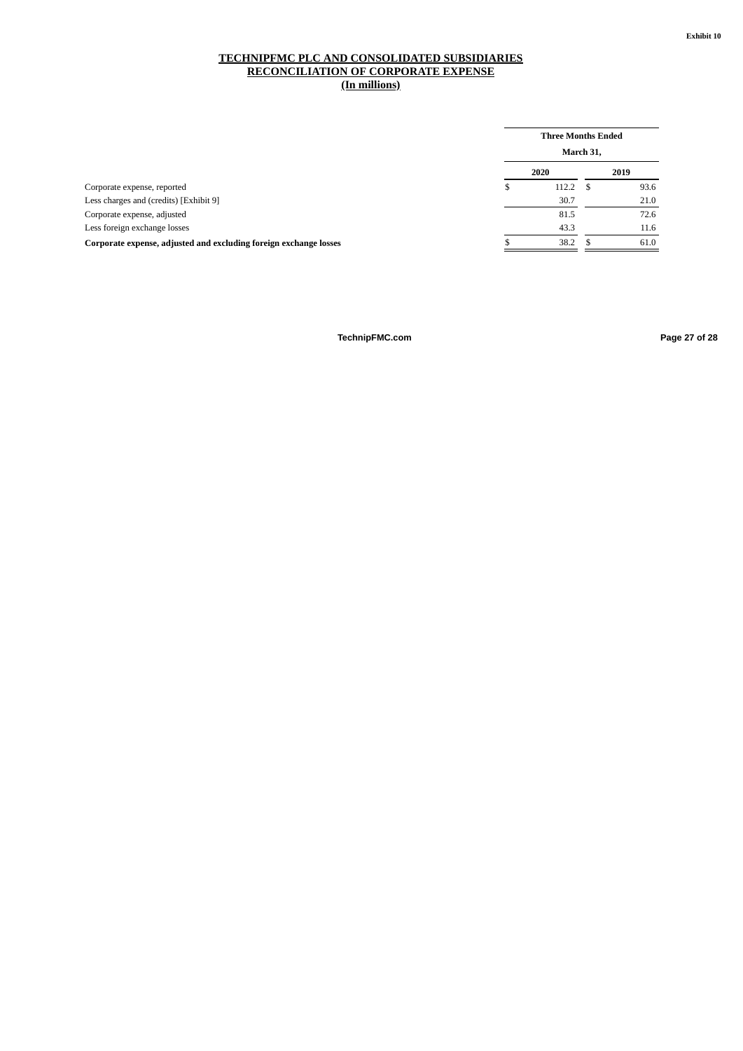#### **TECHNIPFMC PLC AND CONSOLIDATED SUBSIDIARIES RECONCILIATION OF CORPORATE EXPENSE (In millions)**

|                                                                   |   | <b>Three Months Ended</b> | March 31, |      |
|-------------------------------------------------------------------|---|---------------------------|-----------|------|
|                                                                   |   | 2020                      |           | 2019 |
| Corporate expense, reported                                       | S | 112.2                     | S         | 93.6 |
| Less charges and (credits) [Exhibit 9]                            |   | 30.7                      |           | 21.0 |
| Corporate expense, adjusted                                       |   | 81.5                      |           | 72.6 |
| Less foreign exchange losses                                      |   | 43.3                      |           | 11.6 |
| Corporate expense, adjusted and excluding foreign exchange losses |   | 38.2                      |           | 61.0 |
|                                                                   |   |                           |           |      |

**TechnipFMC.com Page 27 of [28](#page-31-0)**